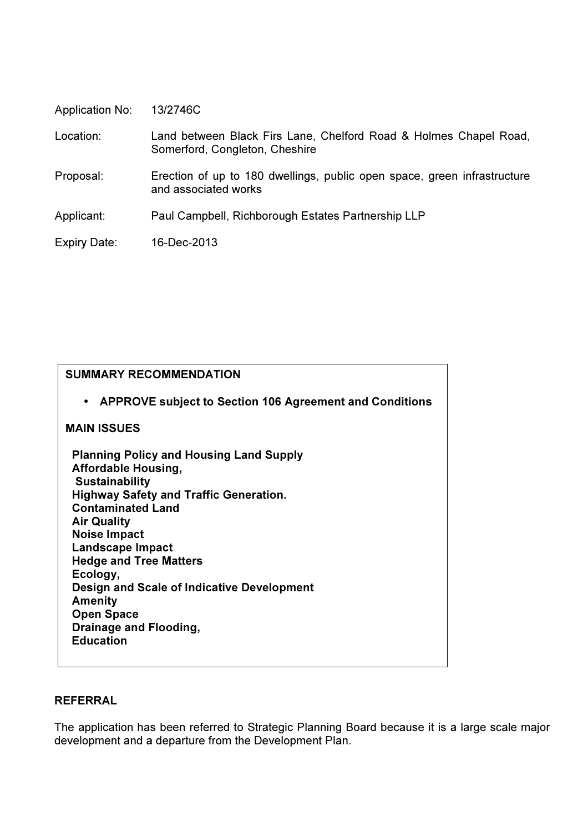| <b>Application No:</b> | 13/2746C |
|------------------------|----------|
|------------------------|----------|

 Location: Land between Black Firs Lane, Chelford Road & Holmes Chapel Road, Somerford, Congleton, Cheshire

 Proposal: Erection of up to 180 dwellings, public open space, green infrastructure and associated works

Applicant: Paul Campbell, Richborough Estates Partnership LLP

Expiry Date: 16-Dec-2013

| <b>SUMMARY RECOMMENDATION</b>                                                                                                                                                                                                                                                                                                                                                                                                              |
|--------------------------------------------------------------------------------------------------------------------------------------------------------------------------------------------------------------------------------------------------------------------------------------------------------------------------------------------------------------------------------------------------------------------------------------------|
| • APPROVE subject to Section 106 Agreement and Conditions                                                                                                                                                                                                                                                                                                                                                                                  |
| <b>MAIN ISSUES</b>                                                                                                                                                                                                                                                                                                                                                                                                                         |
| <b>Planning Policy and Housing Land Supply</b><br><b>Affordable Housing,</b><br><b>Sustainability</b><br><b>Highway Safety and Traffic Generation.</b><br><b>Contaminated Land</b><br><b>Air Quality</b><br><b>Noise Impact</b><br><b>Landscape Impact</b><br><b>Hedge and Tree Matters</b><br>Ecology,<br>Design and Scale of Indicative Development<br><b>Amenity</b><br><b>Open Space</b><br>Drainage and Flooding,<br><b>Education</b> |
|                                                                                                                                                                                                                                                                                                                                                                                                                                            |

# REFERRAL

The application has been referred to Strategic Planning Board because it is a large scale major development and a departure from the Development Plan.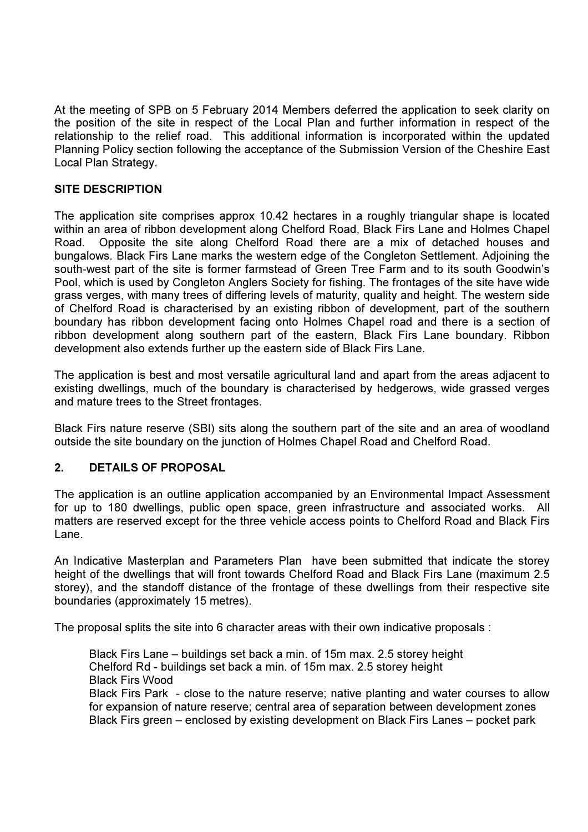At the meeting of SPB on 5 February 2014 Members deferred the application to seek clarity on the position of the site in respect of the Local Plan and further information in respect of the relationship to the relief road. This additional information is incorporated within the updated Planning Policy section following the acceptance of the Submission Version of the Cheshire East Local Plan Strategy.

# SITE DESCRIPTION

The application site comprises approx 10.42 hectares in a roughly triangular shape is located within an area of ribbon development along Chelford Road, Black Firs Lane and Holmes Chapel Road. Opposite the site along Chelford Road there are a mix of detached houses and bungalows. Black Firs Lane marks the western edge of the Congleton Settlement. Adjoining the south-west part of the site is former farmstead of Green Tree Farm and to its south Goodwin's Pool, which is used by Congleton Anglers Society for fishing. The frontages of the site have wide grass verges, with many trees of differing levels of maturity, quality and height. The western side of Chelford Road is characterised by an existing ribbon of development, part of the southern boundary has ribbon development facing onto Holmes Chapel road and there is a section of ribbon development along southern part of the eastern, Black Firs Lane boundary. Ribbon development also extends further up the eastern side of Black Firs Lane.

The application is best and most versatile agricultural land and apart from the areas adjacent to existing dwellings, much of the boundary is characterised by hedgerows, wide grassed verges and mature trees to the Street frontages.

Black Firs nature reserve (SBI) sits along the southern part of the site and an area of woodland outside the site boundary on the junction of Holmes Chapel Road and Chelford Road.

# 2. DETAILS OF PROPOSAL

The application is an outline application accompanied by an Environmental Impact Assessment for up to 180 dwellings, public open space, green infrastructure and associated works. All matters are reserved except for the three vehicle access points to Chelford Road and Black Firs Lane.

An Indicative Masterplan and Parameters Plan have been submitted that indicate the storey height of the dwellings that will front towards Chelford Road and Black Firs Lane (maximum 2.5 storey), and the standoff distance of the frontage of these dwellings from their respective site boundaries (approximately 15 metres).

The proposal splits the site into 6 character areas with their own indicative proposals :

 Black Firs Lane – buildings set back a min. of 15m max. 2.5 storey height Chelford Rd - buildings set back a min. of 15m max. 2.5 storey height Black Firs Wood Black Firs Park - close to the nature reserve; native planting and water courses to allow for expansion of nature reserve; central area of separation between development zones Black Firs green – enclosed by existing development on Black Firs Lanes – pocket park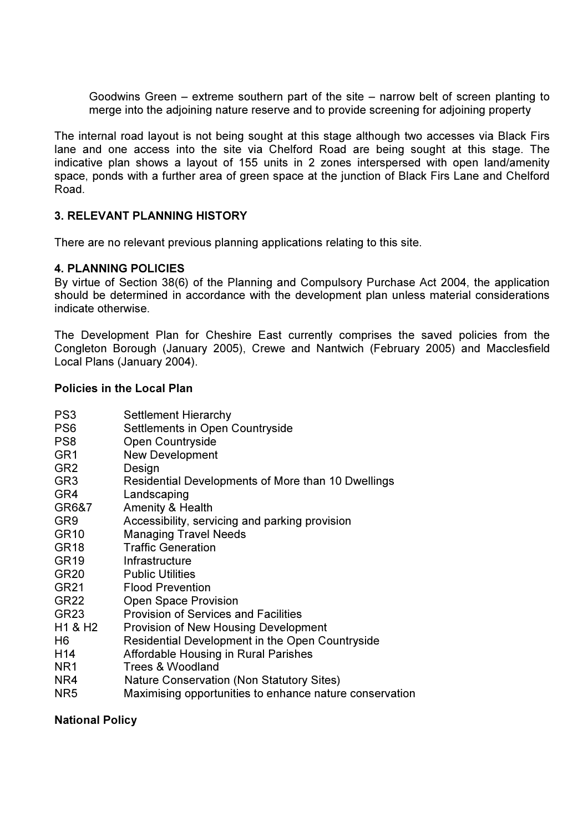Goodwins Green – extreme southern part of the site – narrow belt of screen planting to merge into the adjoining nature reserve and to provide screening for adjoining property

The internal road layout is not being sought at this stage although two accesses via Black Firs lane and one access into the site via Chelford Road are being sought at this stage. The indicative plan shows a layout of 155 units in 2 zones interspersed with open land/amenity space, ponds with a further area of green space at the junction of Black Firs Lane and Chelford Road.

# 3. RELEVANT PLANNING HISTORY

There are no relevant previous planning applications relating to this site.

# 4. PLANNING POLICIES

By virtue of Section 38(6) of the Planning and Compulsory Purchase Act 2004, the application should be determined in accordance with the development plan unless material considerations indicate otherwise.

The Development Plan for Cheshire East currently comprises the saved policies from the Congleton Borough (January 2005), Crewe and Nantwich (February 2005) and Macclesfield Local Plans (January 2004).

### Policies in the Local Plan

| PS <sub>3</sub> | <b>Settlement Hierarchy</b>     |
|-----------------|---------------------------------|
| PS6             | Settlements in Open Countryside |

- PS8 Open Countryside
- GR1 New Development
- GR2 Design
- GR3 Residential Developments of More than 10 Dwellings
- GR4 Landscaping
- GR6&7 Amenity & Health
- GR9 Accessibility, servicing and parking provision
- GR10 Managing Travel Needs
- GR18 Traffic Generation
- GR19 Infrastructure
- GR20 Public Utilities
- GR21 Flood Prevention
- GR22 Open Space Provision
- GR23 Provision of Services and Facilities
- H1 & H2 Provision of New Housing Development
- H6 Residential Development in the Open Countryside
- H14 Affordable Housing in Rural Parishes
- NR1 Trees & Woodland
- NR4 Nature Conservation (Non Statutory Sites)
- NR5 Maximising opportunities to enhance nature conservation

# National Policy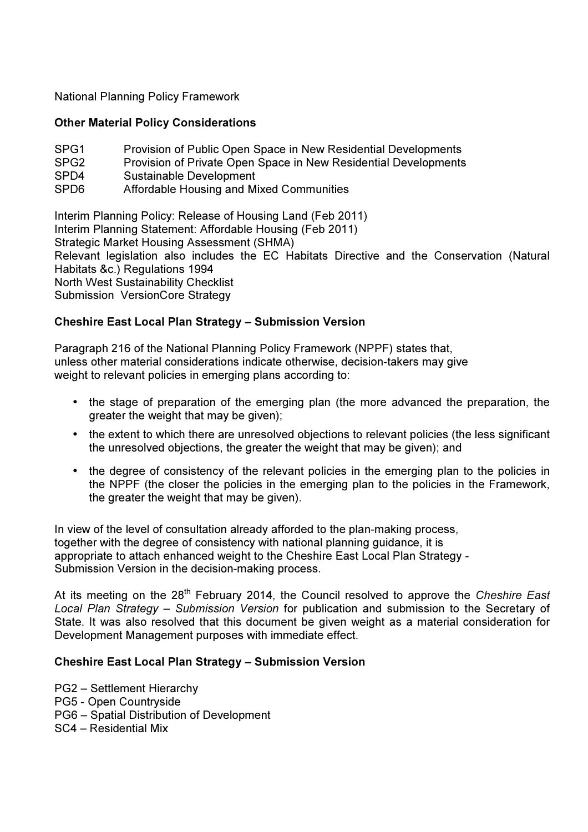National Planning Policy Framework

# Other Material Policy Considerations

| SPG1 | Provision of Public Open Space in New Residential Developments  |
|------|-----------------------------------------------------------------|
| SPG2 | Provision of Private Open Space in New Residential Developments |
| SPD4 | Sustainable Development                                         |
| SPD6 | Affordable Housing and Mixed Communities                        |
|      |                                                                 |

Interim Planning Policy: Release of Housing Land (Feb 2011) Interim Planning Statement: Affordable Housing (Feb 2011) Strategic Market Housing Assessment (SHMA) Relevant legislation also includes the EC Habitats Directive and the Conservation (Natural Habitats &c.) Regulations 1994 North West Sustainability Checklist Submission VersionCore Strategy

# Cheshire East Local Plan Strategy – Submission Version

Paragraph 216 of the National Planning Policy Framework (NPPF) states that, unless other material considerations indicate otherwise, decision-takers may give weight to relevant policies in emerging plans according to:

- the stage of preparation of the emerging plan (the more advanced the preparation, the greater the weight that may be given);
- the extent to which there are unresolved objections to relevant policies (the less significant the unresolved objections, the greater the weight that may be given); and
- the degree of consistency of the relevant policies in the emerging plan to the policies in the NPPF (the closer the policies in the emerging plan to the policies in the Framework, the greater the weight that may be given).

In view of the level of consultation already afforded to the plan-making process, together with the degree of consistency with national planning guidance, it is appropriate to attach enhanced weight to the Cheshire East Local Plan Strategy - Submission Version in the decision-making process.

At its meeting on the  $28<sup>th</sup>$  February 2014, the Council resolved to approve the Cheshire East Local Plan Strategy – Submission Version for publication and submission to the Secretary of State. It was also resolved that this document be given weight as a material consideration for Development Management purposes with immediate effect.

# Cheshire East Local Plan Strategy – Submission Version

PG2 – Settlement Hierarchy PG5 - Open Countryside PG6 – Spatial Distribution of Development SC4 – Residential Mix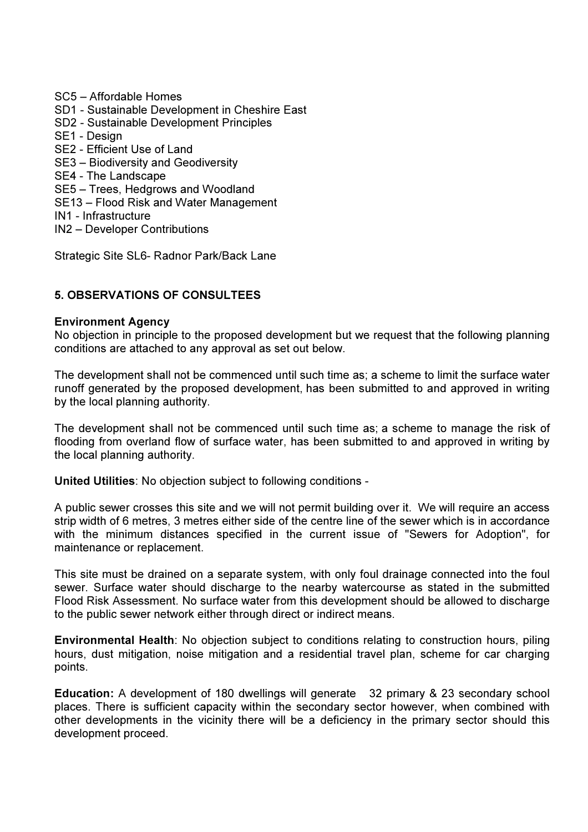SC5 – Affordable Homes SD1 - Sustainable Development in Cheshire East SD2 - Sustainable Development Principles SE1 - Design SE2 - Efficient Use of Land SE3 – Biodiversity and Geodiversity SE4 - The Landscape SE5 – Trees, Hedgrows and Woodland SE13 – Flood Risk and Water Management IN1 - Infrastructure IN2 – Developer Contributions

Strategic Site SL6- Radnor Park/Back Lane

# 5. OBSERVATIONS OF CONSULTEES

# Environment Agency

No objection in principle to the proposed development but we request that the following planning conditions are attached to any approval as set out below.

The development shall not be commenced until such time as; a scheme to limit the surface water runoff generated by the proposed development, has been submitted to and approved in writing by the local planning authority.

The development shall not be commenced until such time as; a scheme to manage the risk of flooding from overland flow of surface water, has been submitted to and approved in writing by the local planning authority.

United Utilities: No objection subject to following conditions -

A public sewer crosses this site and we will not permit building over it. We will require an access strip width of 6 metres, 3 metres either side of the centre line of the sewer which is in accordance with the minimum distances specified in the current issue of "Sewers for Adoption", for maintenance or replacement.

This site must be drained on a separate system, with only foul drainage connected into the foul sewer. Surface water should discharge to the nearby watercourse as stated in the submitted Flood Risk Assessment. No surface water from this development should be allowed to discharge to the public sewer network either through direct or indirect means.

Environmental Health: No objection subject to conditions relating to construction hours, piling hours, dust mitigation, noise mitigation and a residential travel plan, scheme for car charging points.

Education: A development of 180 dwellings will generate 32 primary & 23 secondary school places. There is sufficient capacity within the secondary sector however, when combined with other developments in the vicinity there will be a deficiency in the primary sector should this development proceed.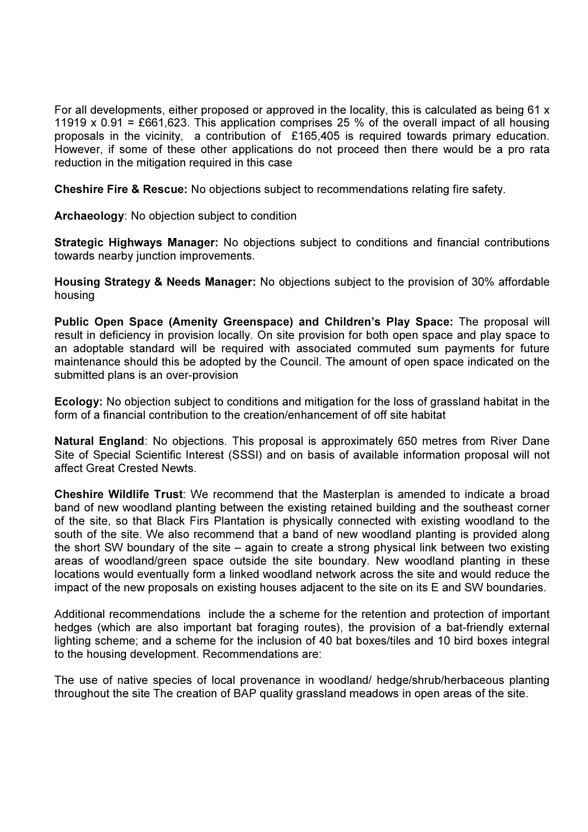For all developments, either proposed or approved in the locality, this is calculated as being 61 x 11919 x 0.91 = £661,623. This application comprises 25 % of the overall impact of all housing proposals in the vicinity, a contribution of £165,405 is required towards primary education. However, if some of these other applications do not proceed then there would be a pro rata reduction in the mitigation required in this case

Cheshire Fire & Rescue: No objections subject to recommendations relating fire safety.

Archaeology: No objection subject to condition

Strategic Highways Manager: No objections subject to conditions and financial contributions towards nearby junction improvements.

Housing Strategy & Needs Manager: No objections subject to the provision of 30% affordable housing

Public Open Space (Amenity Greenspace) and Children's Play Space: The proposal will result in deficiency in provision locally. On site provision for both open space and play space to an adoptable standard will be required with associated commuted sum payments for future maintenance should this be adopted by the Council. The amount of open space indicated on the submitted plans is an over-provision

Ecology: No objection subject to conditions and mitigation for the loss of grassland habitat in the form of a financial contribution to the creation/enhancement of off site habitat

Natural England: No objections. This proposal is approximately 650 metres from River Dane Site of Special Scientific Interest (SSSI) and on basis of available information proposal will not affect Great Crested Newts.

Cheshire Wildlife Trust: We recommend that the Masterplan is amended to indicate a broad band of new woodland planting between the existing retained building and the southeast corner of the site, so that Black Firs Plantation is physically connected with existing woodland to the south of the site. We also recommend that a band of new woodland planting is provided along the short SW boundary of the site – again to create a strong physical link between two existing areas of woodland/green space outside the site boundary. New woodland planting in these locations would eventually form a linked woodland network across the site and would reduce the impact of the new proposals on existing houses adjacent to the site on its E and SW boundaries.

Additional recommendations include the a scheme for the retention and protection of important hedges (which are also important bat foraging routes), the provision of a bat-friendly external lighting scheme; and a scheme for the inclusion of 40 bat boxes/tiles and 10 bird boxes integral to the housing development. Recommendations are:

The use of native species of local provenance in woodland/ hedge/shrub/herbaceous planting throughout the site The creation of BAP quality grassland meadows in open areas of the site.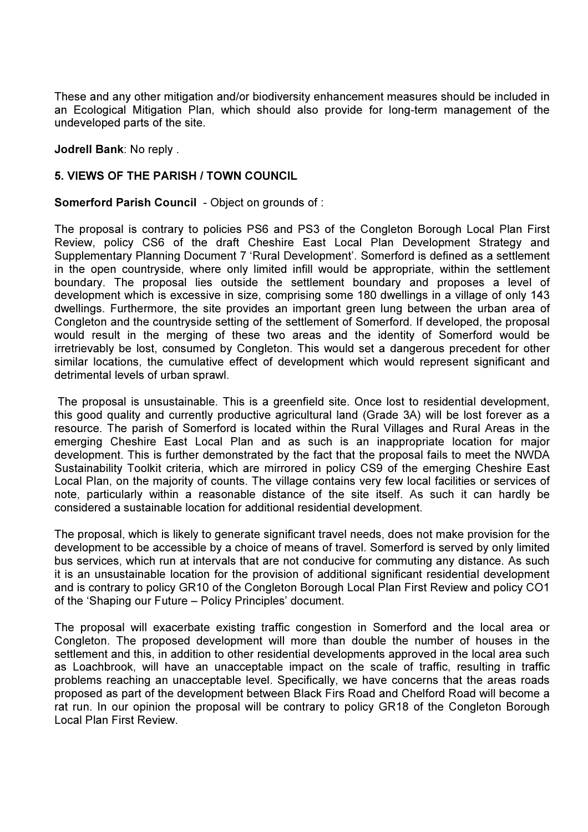These and any other mitigation and/or biodiversity enhancement measures should be included in an Ecological Mitigation Plan, which should also provide for long-term management of the undeveloped parts of the site.

Jodrell Bank: No reply .

# 5. VIEWS OF THE PARISH / TOWN COUNCIL

# Somerford Parish Council - Object on grounds of :

The proposal is contrary to policies PS6 and PS3 of the Congleton Borough Local Plan First Review, policy CS6 of the draft Cheshire East Local Plan Development Strategy and Supplementary Planning Document 7 'Rural Development'. Somerford is defined as a settlement in the open countryside, where only limited infill would be appropriate, within the settlement boundary. The proposal lies outside the settlement boundary and proposes a level of development which is excessive in size, comprising some 180 dwellings in a village of only 143 dwellings. Furthermore, the site provides an important green lung between the urban area of Congleton and the countryside setting of the settlement of Somerford. If developed, the proposal would result in the merging of these two areas and the identity of Somerford would be irretrievably be lost, consumed by Congleton. This would set a dangerous precedent for other similar locations, the cumulative effect of development which would represent significant and detrimental levels of urban sprawl.

 The proposal is unsustainable. This is a greenfield site. Once lost to residential development, this good quality and currently productive agricultural land (Grade 3A) will be lost forever as a resource. The parish of Somerford is located within the Rural Villages and Rural Areas in the emerging Cheshire East Local Plan and as such is an inappropriate location for major development. This is further demonstrated by the fact that the proposal fails to meet the NWDA Sustainability Toolkit criteria, which are mirrored in policy CS9 of the emerging Cheshire East Local Plan, on the majority of counts. The village contains very few local facilities or services of note, particularly within a reasonable distance of the site itself. As such it can hardly be considered a sustainable location for additional residential development.

The proposal, which is likely to generate significant travel needs, does not make provision for the development to be accessible by a choice of means of travel. Somerford is served by only limited bus services, which run at intervals that are not conducive for commuting any distance. As such it is an unsustainable location for the provision of additional significant residential development and is contrary to policy GR10 of the Congleton Borough Local Plan First Review and policy CO1 of the 'Shaping our Future – Policy Principles' document.

The proposal will exacerbate existing traffic congestion in Somerford and the local area or Congleton. The proposed development will more than double the number of houses in the settlement and this, in addition to other residential developments approved in the local area such as Loachbrook, will have an unacceptable impact on the scale of traffic, resulting in traffic problems reaching an unacceptable level. Specifically, we have concerns that the areas roads proposed as part of the development between Black Firs Road and Chelford Road will become a rat run. In our opinion the proposal will be contrary to policy GR18 of the Congleton Borough Local Plan First Review.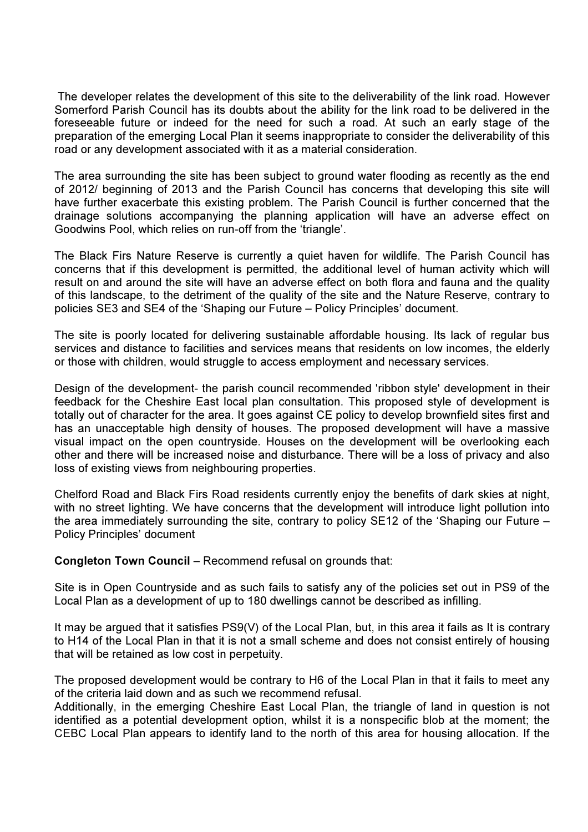The developer relates the development of this site to the deliverability of the link road. However Somerford Parish Council has its doubts about the ability for the link road to be delivered in the foreseeable future or indeed for the need for such a road. At such an early stage of the preparation of the emerging Local Plan it seems inappropriate to consider the deliverability of this road or any development associated with it as a material consideration.

The area surrounding the site has been subject to ground water flooding as recently as the end of 2012/ beginning of 2013 and the Parish Council has concerns that developing this site will have further exacerbate this existing problem. The Parish Council is further concerned that the drainage solutions accompanying the planning application will have an adverse effect on Goodwins Pool, which relies on run-off from the 'triangle'.

The Black Firs Nature Reserve is currently a quiet haven for wildlife. The Parish Council has concerns that if this development is permitted, the additional level of human activity which will result on and around the site will have an adverse effect on both flora and fauna and the quality of this landscape, to the detriment of the quality of the site and the Nature Reserve, contrary to policies SE3 and SE4 of the 'Shaping our Future – Policy Principles' document.

The site is poorly located for delivering sustainable affordable housing. Its lack of regular bus services and distance to facilities and services means that residents on low incomes, the elderly or those with children, would struggle to access employment and necessary services.

Design of the development- the parish council recommended 'ribbon style' development in their feedback for the Cheshire East local plan consultation. This proposed style of development is totally out of character for the area. It goes against CE policy to develop brownfield sites first and has an unacceptable high density of houses. The proposed development will have a massive visual impact on the open countryside. Houses on the development will be overlooking each other and there will be increased noise and disturbance. There will be a loss of privacy and also loss of existing views from neighbouring properties.

Chelford Road and Black Firs Road residents currently enjoy the benefits of dark skies at night, with no street lighting. We have concerns that the development will introduce light pollution into the area immediately surrounding the site, contrary to policy SE12 of the 'Shaping our Future – Policy Principles' document

Congleton Town Council – Recommend refusal on grounds that:

Site is in Open Countryside and as such fails to satisfy any of the policies set out in PS9 of the Local Plan as a development of up to 180 dwellings cannot be described as infilling.

It may be argued that it satisfies PS9(V) of the Local Plan, but, in this area it fails as It is contrary to H14 of the Local Plan in that it is not a small scheme and does not consist entirely of housing that will be retained as low cost in perpetuity.

The proposed development would be contrary to H6 of the Local Plan in that it fails to meet any of the criteria laid down and as such we recommend refusal.

Additionally, in the emerging Cheshire East Local Plan, the triangle of land in question is not identified as a potential development option, whilst it is a nonspecific blob at the moment; the CEBC Local Plan appears to identify land to the north of this area for housing allocation. If the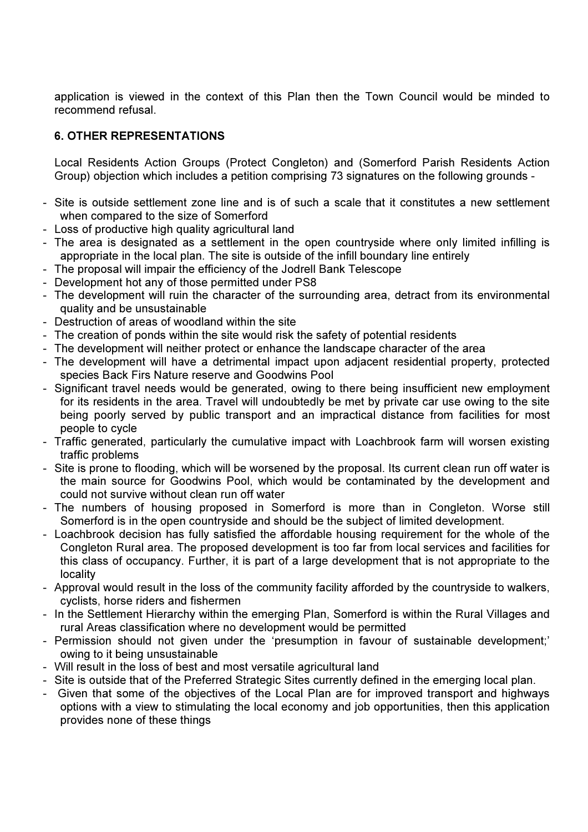application is viewed in the context of this Plan then the Town Council would be minded to recommend refusal.

# 6. OTHER REPRESENTATIONS

Local Residents Action Groups (Protect Congleton) and (Somerford Parish Residents Action Group) objection which includes a petition comprising 73 signatures on the following grounds -

- Site is outside settlement zone line and is of such a scale that it constitutes a new settlement when compared to the size of Somerford
- Loss of productive high quality agricultural land
- The area is designated as a settlement in the open countryside where only limited infilling is appropriate in the local plan. The site is outside of the infill boundary line entirely
- The proposal will impair the efficiency of the Jodrell Bank Telescope
- Development hot any of those permitted under PS8
- The development will ruin the character of the surrounding area, detract from its environmental quality and be unsustainable
- Destruction of areas of woodland within the site
- The creation of ponds within the site would risk the safety of potential residents
- The development will neither protect or enhance the landscape character of the area
- The development will have a detrimental impact upon adjacent residential property, protected species Back Firs Nature reserve and Goodwins Pool
- Significant travel needs would be generated, owing to there being insufficient new employment for its residents in the area. Travel will undoubtedly be met by private car use owing to the site being poorly served by public transport and an impractical distance from facilities for most people to cycle
- Traffic generated, particularly the cumulative impact with Loachbrook farm will worsen existing traffic problems
- Site is prone to flooding, which will be worsened by the proposal. Its current clean run off water is the main source for Goodwins Pool, which would be contaminated by the development and could not survive without clean run off water
- The numbers of housing proposed in Somerford is more than in Congleton. Worse still Somerford is in the open countryside and should be the subject of limited development.
- Loachbrook decision has fully satisfied the affordable housing requirement for the whole of the Congleton Rural area. The proposed development is too far from local services and facilities for this class of occupancy. Further, it is part of a large development that is not appropriate to the locality
- Approval would result in the loss of the community facility afforded by the countryside to walkers, cyclists, horse riders and fishermen
- In the Settlement Hierarchy within the emerging Plan, Somerford is within the Rural Villages and rural Areas classification where no development would be permitted
- Permission should not given under the 'presumption in favour of sustainable development;' owing to it being unsustainable
- Will result in the loss of best and most versatile agricultural land
- Site is outside that of the Preferred Strategic Sites currently defined in the emerging local plan.
- Given that some of the objectives of the Local Plan are for improved transport and highways options with a view to stimulating the local economy and job opportunities, then this application provides none of these things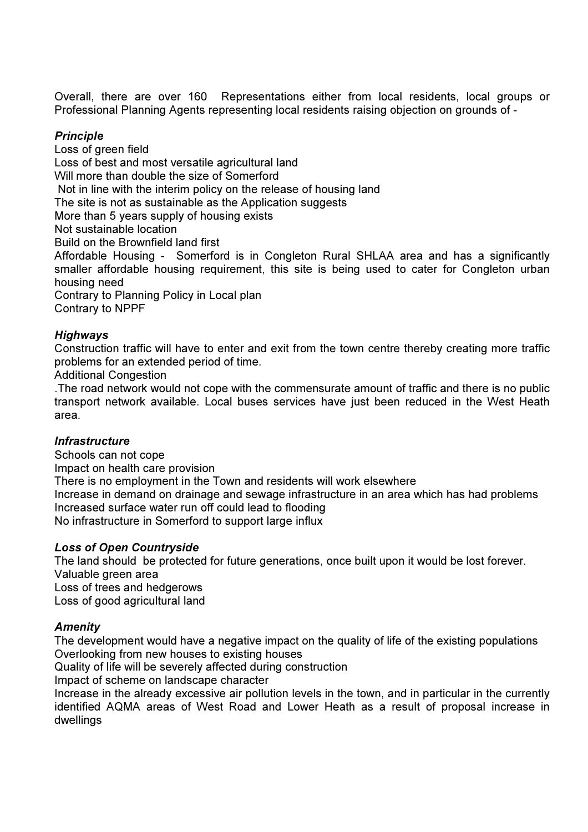Overall, there are over 160 Representations either from local residents, local groups or Professional Planning Agents representing local residents raising objection on grounds of -

# **Principle**

Loss of green field Loss of best and most versatile agricultural land Will more than double the size of Somerford Not in line with the interim policy on the release of housing land The site is not as sustainable as the Application suggests More than 5 years supply of housing exists Not sustainable location Build on the Brownfield land first Affordable Housing - Somerford is in Congleton Rural SHLAA area and has a significantly smaller affordable housing requirement, this site is being used to cater for Congleton urban housing need Contrary to Planning Policy in Local plan

Contrary to NPPF

# Highways

Construction traffic will have to enter and exit from the town centre thereby creating more traffic problems for an extended period of time.

Additional Congestion

.The road network would not cope with the commensurate amount of traffic and there is no public transport network available. Local buses services have just been reduced in the West Heath area.

# **Infrastructure**

Schools can not cope Impact on health care provision There is no employment in the Town and residents will work elsewhere Increase in demand on drainage and sewage infrastructure in an area which has had problems Increased surface water run off could lead to flooding No infrastructure in Somerford to support large influx

# Loss of Open Countryside

The land should be protected for future generations, once built upon it would be lost forever. Valuable green area Loss of trees and hedgerows Loss of good agricultural land

# **Amenity**

The development would have a negative impact on the quality of life of the existing populations Overlooking from new houses to existing houses

Quality of life will be severely affected during construction

Impact of scheme on landscape character

Increase in the already excessive air pollution levels in the town, and in particular in the currently identified AQMA areas of West Road and Lower Heath as a result of proposal increase in dwellings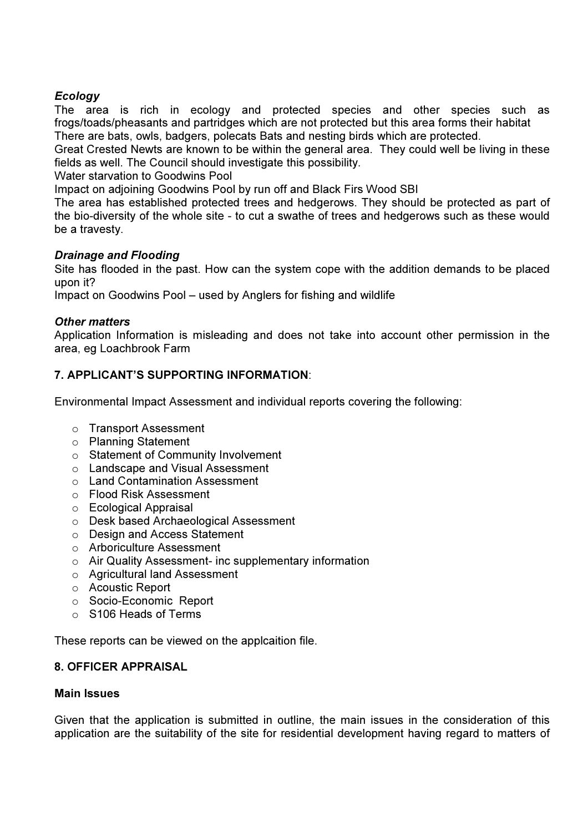# **Ecology**

The area is rich in ecology and protected species and other species such as frogs/toads/pheasants and partridges which are not protected but this area forms their habitat There are bats, owls, badgers, polecats Bats and nesting birds which are protected.

Great Crested Newts are known to be within the general area. They could well be living in these fields as well. The Council should investigate this possibility.

Water starvation to Goodwins Pool

Impact on adjoining Goodwins Pool by run off and Black Firs Wood SBI

The area has established protected trees and hedgerows. They should be protected as part of the bio-diversity of the whole site - to cut a swathe of trees and hedgerows such as these would be a travesty.

# Drainage and Flooding

Site has flooded in the past. How can the system cope with the addition demands to be placed upon it?

Impact on Goodwins Pool – used by Anglers for fishing and wildlife

# Other matters

Application Information is misleading and does not take into account other permission in the area, eg Loachbrook Farm

# 7. APPLICANT'S SUPPORTING INFORMATION:

Environmental Impact Assessment and individual reports covering the following:

- o Transport Assessment
- o Planning Statement
- o Statement of Community Involvement
- o Landscape and Visual Assessment
- o Land Contamination Assessment
- o Flood Risk Assessment
- o Ecological Appraisal
- o Desk based Archaeological Assessment
- o Design and Access Statement
- o Arboriculture Assessment
- o Air Quality Assessment- inc supplementary information
- o Agricultural land Assessment
- o Acoustic Report
- o Socio-Economic Report
- o S106 Heads of Terms

These reports can be viewed on the applcaition file.

# 8. OFFICER APPRAISAL

# Main Issues

Given that the application is submitted in outline, the main issues in the consideration of this application are the suitability of the site for residential development having regard to matters of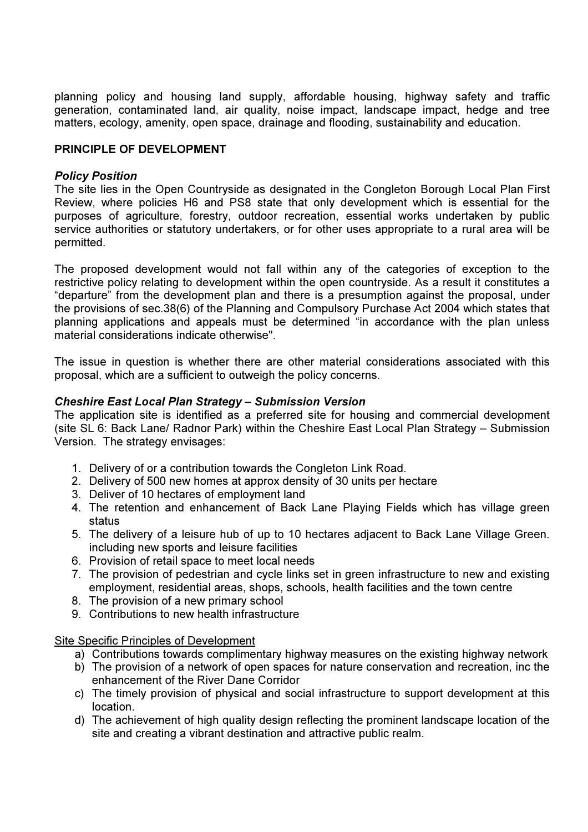planning policy and housing land supply, affordable housing, highway safety and traffic generation, contaminated land, air quality, noise impact, landscape impact, hedge and tree matters, ecology, amenity, open space, drainage and flooding, sustainability and education.

# PRINCIPLE OF DEVELOPMENT

# Policy Position

The site lies in the Open Countryside as designated in the Congleton Borough Local Plan First Review, where policies H6 and PS8 state that only development which is essential for the purposes of agriculture, forestry, outdoor recreation, essential works undertaken by public service authorities or statutory undertakers, or for other uses appropriate to a rural area will be permitted.

The proposed development would not fall within any of the categories of exception to the restrictive policy relating to development within the open countryside. As a result it constitutes a "departure" from the development plan and there is a presumption against the proposal, under the provisions of sec.38(6) of the Planning and Compulsory Purchase Act 2004 which states that planning applications and appeals must be determined "in accordance with the plan unless material considerations indicate otherwise".

The issue in question is whether there are other material considerations associated with this proposal, which are a sufficient to outweigh the policy concerns.

# Cheshire East Local Plan Strategy – Submission Version

The application site is identified as a preferred site for housing and commercial development (site SL 6: Back Lane/ Radnor Park) within the Cheshire East Local Plan Strategy – Submission Version. The strategy envisages:

- 1. Delivery of or a contribution towards the Congleton Link Road.
- 2. Delivery of 500 new homes at approx density of 30 units per hectare
- 3. Deliver of 10 hectares of employment land
- 4. The retention and enhancement of Back Lane Playing Fields which has village green status
- 5. The delivery of a leisure hub of up to 10 hectares adjacent to Back Lane Village Green. including new sports and leisure facilities
- 6. Provision of retail space to meet local needs
- 7. The provision of pedestrian and cycle links set in green infrastructure to new and existing employment, residential areas, shops, schools, health facilities and the town centre
- 8. The provision of a new primary school
- 9. Contributions to new health infrastructure

Site Specific Principles of Development

- a) Contributions towards complimentary highway measures on the existing highway network
- b) The provision of a network of open spaces for nature conservation and recreation, inc the enhancement of the River Dane Corridor
- c) The timely provision of physical and social infrastructure to support development at this location.
- d) The achievement of high quality design reflecting the prominent landscape location of the site and creating a vibrant destination and attractive public realm.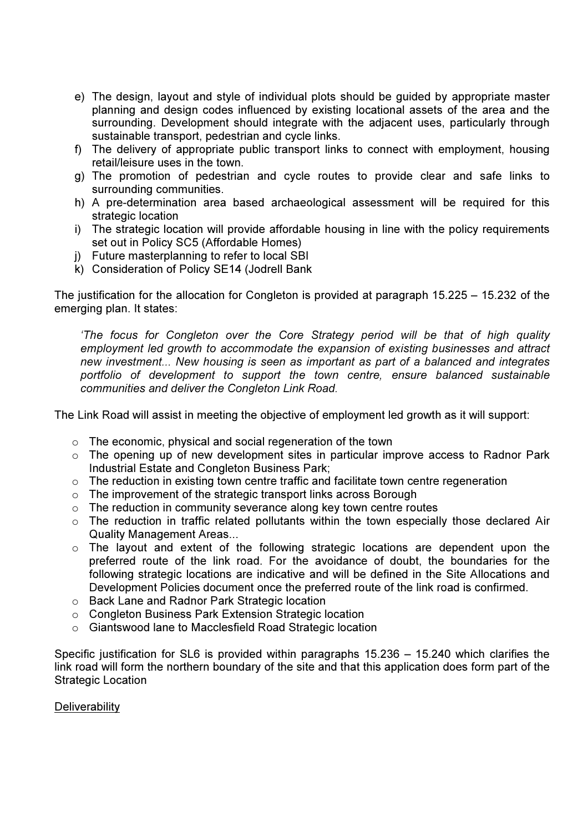- e) The design, layout and style of individual plots should be guided by appropriate master planning and design codes influenced by existing locational assets of the area and the surrounding. Development should integrate with the adjacent uses, particularly through sustainable transport, pedestrian and cycle links.
- f) The delivery of appropriate public transport links to connect with employment, housing retail/leisure uses in the town.
- g) The promotion of pedestrian and cycle routes to provide clear and safe links to surrounding communities.
- h) A pre-determination area based archaeological assessment will be required for this strategic location
- i) The strategic location will provide affordable housing in line with the policy requirements set out in Policy SC5 (Affordable Homes)
- j) Future masterplanning to refer to local SBI
- k) Consideration of Policy SE14 (Jodrell Bank

The justification for the allocation for Congleton is provided at paragraph 15.225 – 15.232 of the emerging plan. It states:

'The focus for Congleton over the Core Strategy period will be that of high quality employment led growth to accommodate the expansion of existing businesses and attract new investment... New housing is seen as important as part of a balanced and integrates portfolio of development to support the town centre, ensure balanced sustainable communities and deliver the Congleton Link Road.

The Link Road will assist in meeting the objective of employment led growth as it will support:

- $\circ$  The economic, physical and social regeneration of the town
- o The opening up of new development sites in particular improve access to Radnor Park Industrial Estate and Congleton Business Park;
- o The reduction in existing town centre traffic and facilitate town centre regeneration
- o The improvement of the strategic transport links across Borough
- $\circ$  The reduction in community severance along key town centre routes
- o The reduction in traffic related pollutants within the town especially those declared Air Quality Management Areas...
- $\circ$  The layout and extent of the following strategic locations are dependent upon the preferred route of the link road. For the avoidance of doubt, the boundaries for the following strategic locations are indicative and will be defined in the Site Allocations and Development Policies document once the preferred route of the link road is confirmed.
- o Back Lane and Radnor Park Strategic location
- o Congleton Business Park Extension Strategic location
- o Giantswood lane to Macclesfield Road Strategic location

Specific justification for SL6 is provided within paragraphs 15.236 – 15.240 which clarifies the link road will form the northern boundary of the site and that this application does form part of the Strategic Location

# **Deliverability**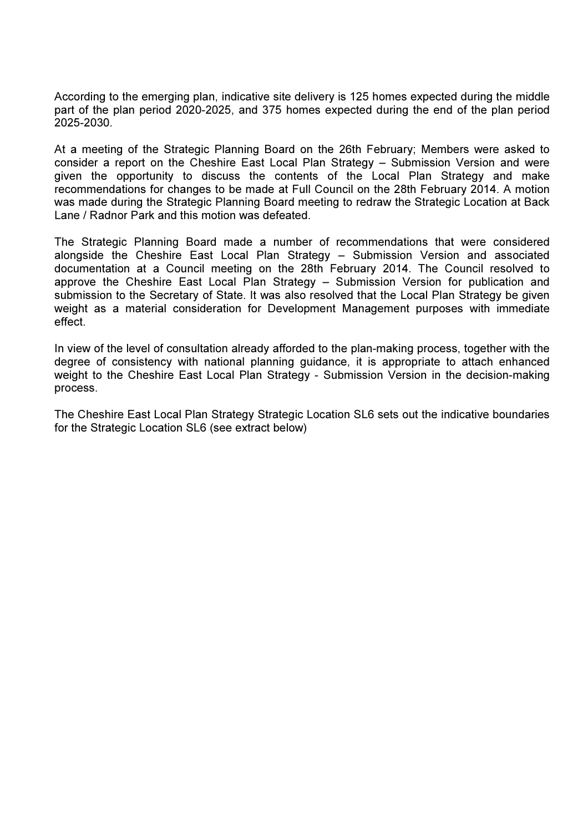According to the emerging plan, indicative site delivery is 125 homes expected during the middle part of the plan period 2020-2025, and 375 homes expected during the end of the plan period 2025-2030.

At a meeting of the Strategic Planning Board on the 26th February; Members were asked to consider a report on the Cheshire East Local Plan Strategy – Submission Version and were given the opportunity to discuss the contents of the Local Plan Strategy and make recommendations for changes to be made at Full Council on the 28th February 2014. A motion was made during the Strategic Planning Board meeting to redraw the Strategic Location at Back Lane / Radnor Park and this motion was defeated.

The Strategic Planning Board made a number of recommendations that were considered alongside the Cheshire East Local Plan Strategy – Submission Version and associated documentation at a Council meeting on the 28th February 2014. The Council resolved to approve the Cheshire East Local Plan Strategy – Submission Version for publication and submission to the Secretary of State. It was also resolved that the Local Plan Strategy be given weight as a material consideration for Development Management purposes with immediate effect.

In view of the level of consultation already afforded to the plan-making process, together with the degree of consistency with national planning guidance, it is appropriate to attach enhanced weight to the Cheshire East Local Plan Strategy - Submission Version in the decision-making process.

The Cheshire East Local Plan Strategy Strategic Location SL6 sets out the indicative boundaries for the Strategic Location SL6 (see extract below)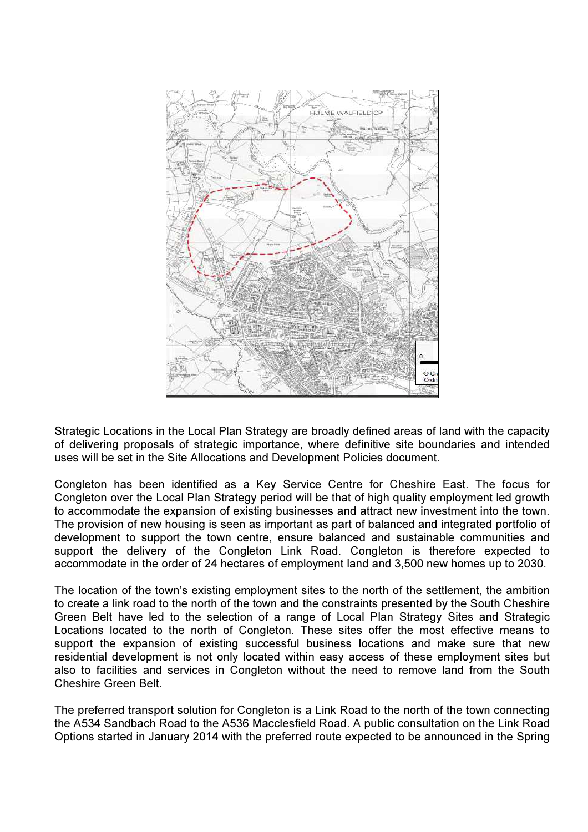

Strategic Locations in the Local Plan Strategy are broadly defined areas of land with the capacity of delivering proposals of strategic importance, where definitive site boundaries and intended uses will be set in the Site Allocations and Development Policies document.

Congleton has been identified as a Key Service Centre for Cheshire East. The focus for Congleton over the Local Plan Strategy period will be that of high quality employment led growth to accommodate the expansion of existing businesses and attract new investment into the town. The provision of new housing is seen as important as part of balanced and integrated portfolio of development to support the town centre, ensure balanced and sustainable communities and support the delivery of the Congleton Link Road. Congleton is therefore expected to accommodate in the order of 24 hectares of employment land and 3,500 new homes up to 2030.

The location of the town's existing employment sites to the north of the settlement, the ambition to create a link road to the north of the town and the constraints presented by the South Cheshire Green Belt have led to the selection of a range of Local Plan Strategy Sites and Strategic Locations located to the north of Congleton. These sites offer the most effective means to support the expansion of existing successful business locations and make sure that new residential development is not only located within easy access of these employment sites but also to facilities and services in Congleton without the need to remove land from the South Cheshire Green Belt.

The preferred transport solution for Congleton is a Link Road to the north of the town connecting the A534 Sandbach Road to the A536 Macclesfield Road. A public consultation on the Link Road Options started in January 2014 with the preferred route expected to be announced in the Spring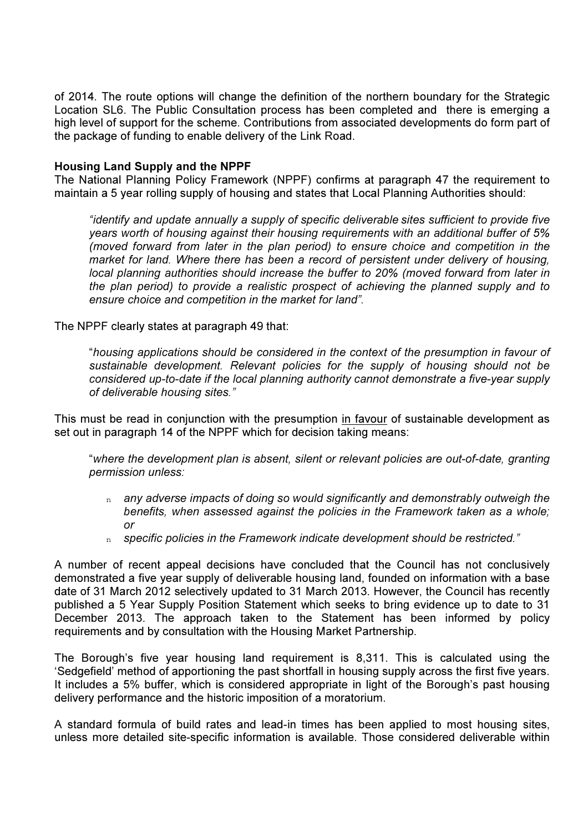of 2014. The route options will change the definition of the northern boundary for the Strategic Location SL6. The Public Consultation process has been completed and there is emerging a high level of support for the scheme. Contributions from associated developments do form part of the package of funding to enable delivery of the Link Road.

### Housing Land Supply and the NPPF

The National Planning Policy Framework (NPPF) confirms at paragraph 47 the requirement to maintain a 5 year rolling supply of housing and states that Local Planning Authorities should:

"identify and update annually a supply of specific deliverable sites sufficient to provide five years worth of housing against their housing requirements with an additional buffer of 5% (moved forward from later in the plan period) to ensure choice and competition in the market for land. Where there has been a record of persistent under delivery of housing, local planning authorities should increase the buffer to 20% (moved forward from later in the plan period) to provide a realistic prospect of achieving the planned supply and to ensure choice and competition in the market for land".

The NPPF clearly states at paragraph 49 that:

"housing applications should be considered in the context of the presumption in favour of sustainable development. Relevant policies for the supply of housing should not be considered up-to-date if the local planning authority cannot demonstrate a five-year supply of deliverable housing sites."

This must be read in conjunction with the presumption in favour of sustainable development as set out in paragraph 14 of the NPPF which for decision taking means:

"where the development plan is absent, silent or relevant policies are out-of-date, granting permission unless:

- $n$  any adverse impacts of doing so would significantly and demonstrably outweigh the benefits, when assessed against the policies in the Framework taken as a whole; or
- $n$  specific policies in the Framework indicate development should be restricted."

A number of recent appeal decisions have concluded that the Council has not conclusively demonstrated a five year supply of deliverable housing land, founded on information with a base date of 31 March 2012 selectively updated to 31 March 2013. However, the Council has recently published a 5 Year Supply Position Statement which seeks to bring evidence up to date to 31 December 2013. The approach taken to the Statement has been informed by policy requirements and by consultation with the Housing Market Partnership.

The Borough's five year housing land requirement is 8,311. This is calculated using the 'Sedgefield' method of apportioning the past shortfall in housing supply across the first five years. It includes a 5% buffer, which is considered appropriate in light of the Borough's past housing delivery performance and the historic imposition of a moratorium.

A standard formula of build rates and lead-in times has been applied to most housing sites, unless more detailed site-specific information is available. Those considered deliverable within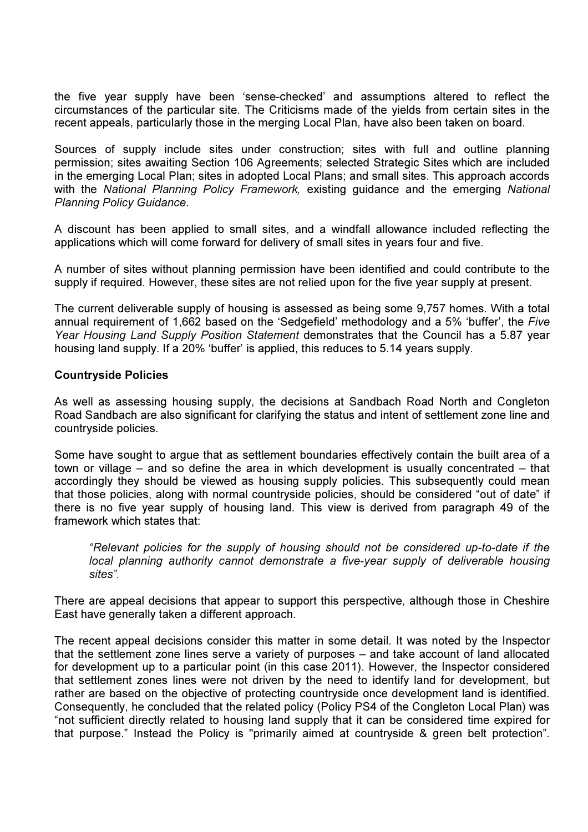the five year supply have been 'sense-checked' and assumptions altered to reflect the circumstances of the particular site. The Criticisms made of the yields from certain sites in the recent appeals, particularly those in the merging Local Plan, have also been taken on board.

Sources of supply include sites under construction; sites with full and outline planning permission; sites awaiting Section 106 Agreements; selected Strategic Sites which are included in the emerging Local Plan; sites in adopted Local Plans; and small sites. This approach accords with the National Planning Policy Framework, existing guidance and the emerging National Planning Policy Guidance.

A discount has been applied to small sites, and a windfall allowance included reflecting the applications which will come forward for delivery of small sites in years four and five.

A number of sites without planning permission have been identified and could contribute to the supply if required. However, these sites are not relied upon for the five year supply at present.

The current deliverable supply of housing is assessed as being some 9,757 homes. With a total annual requirement of 1,662 based on the 'Sedgefield' methodology and a 5% 'buffer', the Five Year Housing Land Supply Position Statement demonstrates that the Council has a 5.87 year housing land supply. If a 20% 'buffer' is applied, this reduces to 5.14 years supply.

### Countryside Policies

As well as assessing housing supply, the decisions at Sandbach Road North and Congleton Road Sandbach are also significant for clarifying the status and intent of settlement zone line and countryside policies.

Some have sought to argue that as settlement boundaries effectively contain the built area of a town or village – and so define the area in which development is usually concentrated – that accordingly they should be viewed as housing supply policies. This subsequently could mean that those policies, along with normal countryside policies, should be considered "out of date" if there is no five year supply of housing land. This view is derived from paragraph 49 of the framework which states that:

"Relevant policies for the supply of housing should not be considered up-to-date if the local planning authority cannot demonstrate a five-year supply of deliverable housing sites".

There are appeal decisions that appear to support this perspective, although those in Cheshire East have generally taken a different approach.

The recent appeal decisions consider this matter in some detail. It was noted by the Inspector that the settlement zone lines serve a variety of purposes – and take account of land allocated for development up to a particular point (in this case 2011). However, the Inspector considered that settlement zones lines were not driven by the need to identify land for development, but rather are based on the objective of protecting countryside once development land is identified. Consequently, he concluded that the related policy (Policy PS4 of the Congleton Local Plan) was "not sufficient directly related to housing land supply that it can be considered time expired for that purpose." Instead the Policy is "primarily aimed at countryside & green belt protection".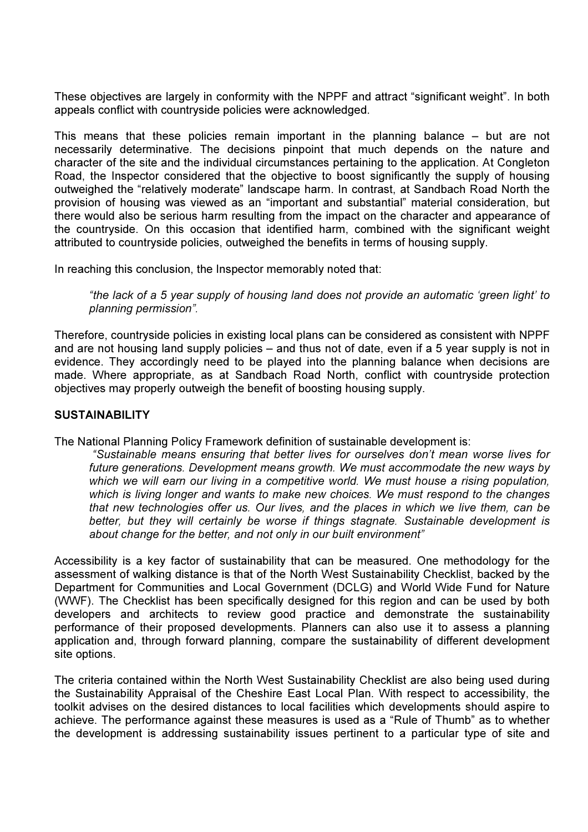These objectives are largely in conformity with the NPPF and attract "significant weight". In both appeals conflict with countryside policies were acknowledged.

This means that these policies remain important in the planning balance – but are not necessarily determinative. The decisions pinpoint that much depends on the nature and character of the site and the individual circumstances pertaining to the application. At Congleton Road, the Inspector considered that the objective to boost significantly the supply of housing outweighed the "relatively moderate" landscape harm. In contrast, at Sandbach Road North the provision of housing was viewed as an "important and substantial" material consideration, but there would also be serious harm resulting from the impact on the character and appearance of the countryside. On this occasion that identified harm, combined with the significant weight attributed to countryside policies, outweighed the benefits in terms of housing supply.

In reaching this conclusion, the Inspector memorably noted that:

"the lack of a 5 year supply of housing land does not provide an automatic 'green light' to planning permission".

Therefore, countryside policies in existing local plans can be considered as consistent with NPPF and are not housing land supply policies – and thus not of date, even if a 5 year supply is not in evidence. They accordingly need to be played into the planning balance when decisions are made. Where appropriate, as at Sandbach Road North, conflict with countryside protection objectives may properly outweigh the benefit of boosting housing supply.

### **SUSTAINABILITY**

The National Planning Policy Framework definition of sustainable development is:

 "Sustainable means ensuring that better lives for ourselves don't mean worse lives for future generations. Development means growth. We must accommodate the new ways by which we will earn our living in a competitive world. We must house a rising population, which is living longer and wants to make new choices. We must respond to the changes that new technologies offer us. Our lives, and the places in which we live them, can be better, but they will certainly be worse if things stagnate. Sustainable development is about change for the better, and not only in our built environment"

Accessibility is a key factor of sustainability that can be measured. One methodology for the assessment of walking distance is that of the North West Sustainability Checklist, backed by the Department for Communities and Local Government (DCLG) and World Wide Fund for Nature (WWF). The Checklist has been specifically designed for this region and can be used by both developers and architects to review good practice and demonstrate the sustainability performance of their proposed developments. Planners can also use it to assess a planning application and, through forward planning, compare the sustainability of different development site options.

The criteria contained within the North West Sustainability Checklist are also being used during the Sustainability Appraisal of the Cheshire East Local Plan. With respect to accessibility, the toolkit advises on the desired distances to local facilities which developments should aspire to achieve. The performance against these measures is used as a "Rule of Thumb" as to whether the development is addressing sustainability issues pertinent to a particular type of site and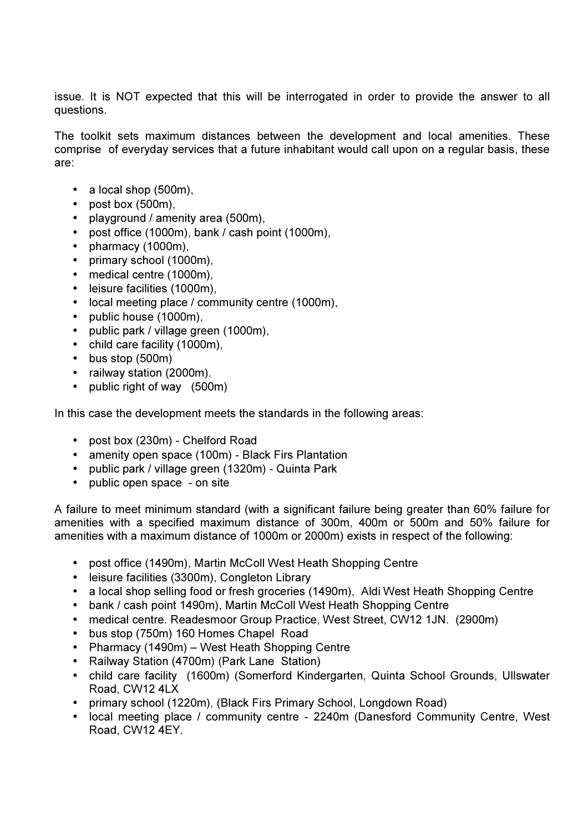issue. It is NOT expected that this will be interrogated in order to provide the answer to all questions.

The toolkit sets maximum distances between the development and local amenities. These comprise of everyday services that a future inhabitant would call upon on a regular basis, these are:

- $\bullet$  a local shop (500m),
- post box (500m),
- playground / amenity area (500m),
- post office (1000m), bank / cash point (1000m),
- pharmacy (1000m),
- primary school (1000m),
- medical centre (1000m),
- leisure facilities (1000m),
- local meeting place / community centre (1000m),
- public house (1000m),
- public park / village green (1000m),
- child care facility (1000m),
- bus stop (500m)
- railway station (2000m).
- public right of way (500m)

In this case the development meets the standards in the following areas:

- post box (230m) Chelford Road
- amenity open space (100m) Black Firs Plantation
- public park / village green (1320m) Quinta Park
- public open space on site

A failure to meet minimum standard (with a significant failure being greater than 60% failure for amenities with a specified maximum distance of 300m, 400m or 500m and 50% failure for amenities with a maximum distance of 1000m or 2000m) exists in respect of the following:

- post office (1490m), Martin McColl West Heath Shopping Centre
- leisure facilities (3300m), Congleton Library
- a local shop selling food or fresh groceries (1490m), Aldi West Heath Shopping Centre
- bank / cash point 1490m), Martin McColl West Heath Shopping Centre
- medical centre. Readesmoor Group Practice, West Street, CW12 1JN. (2900m)
- bus stop (750m) 160 Homes Chapel Road
- Pharmacy (1490m) West Heath Shopping Centre
- Railway Station (4700m) (Park Lane Station)
- child care facility (1600m) (Somerford Kindergarten, Quinta School Grounds, Ullswater Road, CW12 4LX
- primary school (1220m), (Black Firs Primary School, Longdown Road)
- local meeting place / community centre 2240m (Danesford Community Centre, West Road, CW12 4EY.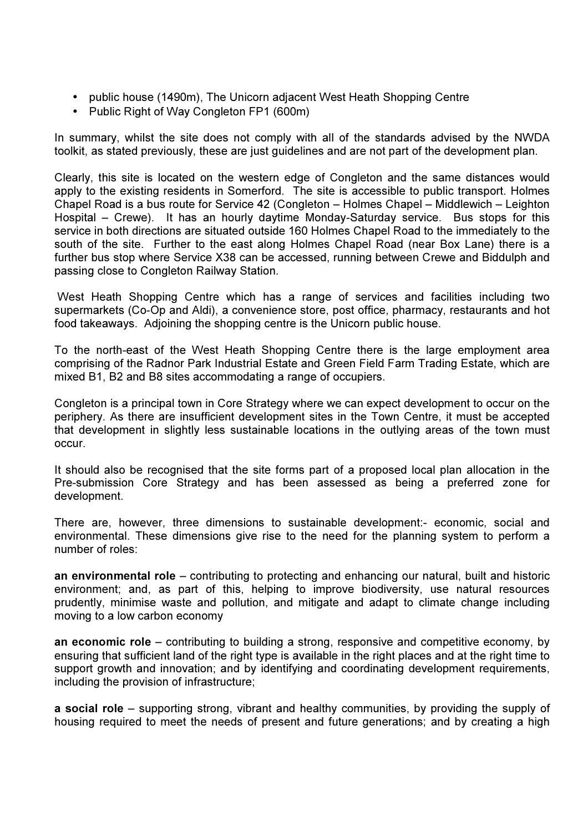- public house (1490m), The Unicorn adjacent West Heath Shopping Centre
- Public Right of Way Congleton FP1 (600m)

In summary, whilst the site does not comply with all of the standards advised by the NWDA toolkit, as stated previously, these are just guidelines and are not part of the development plan.

Clearly, this site is located on the western edge of Congleton and the same distances would apply to the existing residents in Somerford. The site is accessible to public transport. Holmes Chapel Road is a bus route for Service 42 (Congleton – Holmes Chapel – Middlewich – Leighton Hospital – Crewe). It has an hourly daytime Monday-Saturday service. Bus stops for this service in both directions are situated outside 160 Holmes Chapel Road to the immediately to the south of the site. Further to the east along Holmes Chapel Road (near Box Lane) there is a further bus stop where Service X38 can be accessed, running between Crewe and Biddulph and passing close to Congleton Railway Station.

 West Heath Shopping Centre which has a range of services and facilities including two supermarkets (Co-Op and Aldi), a convenience store, post office, pharmacy, restaurants and hot food takeaways. Adjoining the shopping centre is the Unicorn public house.

To the north-east of the West Heath Shopping Centre there is the large employment area comprising of the Radnor Park Industrial Estate and Green Field Farm Trading Estate, which are mixed B1, B2 and B8 sites accommodating a range of occupiers.

Congleton is a principal town in Core Strategy where we can expect development to occur on the periphery. As there are insufficient development sites in the Town Centre, it must be accepted that development in slightly less sustainable locations in the outlying areas of the town must occur.

It should also be recognised that the site forms part of a proposed local plan allocation in the Pre-submission Core Strategy and has been assessed as being a preferred zone for development.

There are, however, three dimensions to sustainable development:- economic, social and environmental. These dimensions give rise to the need for the planning system to perform a number of roles:

an environmental role – contributing to protecting and enhancing our natural, built and historic environment; and, as part of this, helping to improve biodiversity, use natural resources prudently, minimise waste and pollution, and mitigate and adapt to climate change including moving to a low carbon economy

an economic role – contributing to building a strong, responsive and competitive economy, by ensuring that sufficient land of the right type is available in the right places and at the right time to support growth and innovation; and by identifying and coordinating development requirements, including the provision of infrastructure;

a social role – supporting strong, vibrant and healthy communities, by providing the supply of housing required to meet the needs of present and future generations; and by creating a high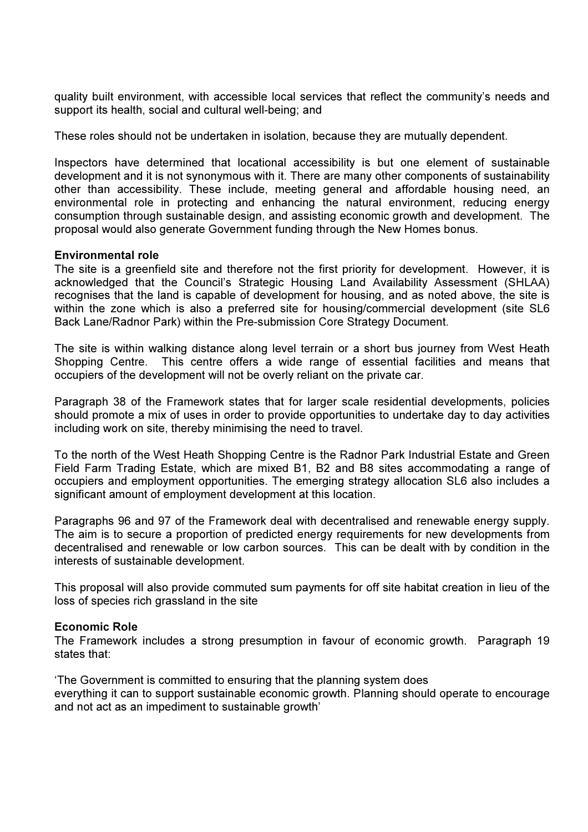quality built environment, with accessible local services that reflect the community's needs and support its health, social and cultural well-being; and

These roles should not be undertaken in isolation, because they are mutually dependent.

Inspectors have determined that locational accessibility is but one element of sustainable development and it is not synonymous with it. There are many other components of sustainability other than accessibility. These include, meeting general and affordable housing need, an environmental role in protecting and enhancing the natural environment, reducing energy consumption through sustainable design, and assisting economic growth and development. The proposal would also generate Government funding through the New Homes bonus.

# Environmental role

The site is a greenfield site and therefore not the first priority for development. However, it is acknowledged that the Council's Strategic Housing Land Availability Assessment (SHLAA) recognises that the land is capable of development for housing, and as noted above, the site is within the zone which is also a preferred site for housing/commercial development (site SL6 Back Lane/Radnor Park) within the Pre-submission Core Strategy Document.

The site is within walking distance along level terrain or a short bus journey from West Heath Shopping Centre. This centre offers a wide range of essential facilities and means that occupiers of the development will not be overly reliant on the private car.

Paragraph 38 of the Framework states that for larger scale residential developments, policies should promote a mix of uses in order to provide opportunities to undertake day to day activities including work on site, thereby minimising the need to travel.

To the north of the West Heath Shopping Centre is the Radnor Park Industrial Estate and Green Field Farm Trading Estate, which are mixed B1, B2 and B8 sites accommodating a range of occupiers and employment opportunities. The emerging strategy allocation SL6 also includes a significant amount of employment development at this location.

Paragraphs 96 and 97 of the Framework deal with decentralised and renewable energy supply. The aim is to secure a proportion of predicted energy requirements for new developments from decentralised and renewable or low carbon sources. This can be dealt with by condition in the interests of sustainable development.

This proposal will also provide commuted sum payments for off site habitat creation in lieu of the loss of species rich grassland in the site

# Economic Role

The Framework includes a strong presumption in favour of economic growth. Paragraph 19 states that:

'The Government is committed to ensuring that the planning system does everything it can to support sustainable economic growth. Planning should operate to encourage and not act as an impediment to sustainable growth'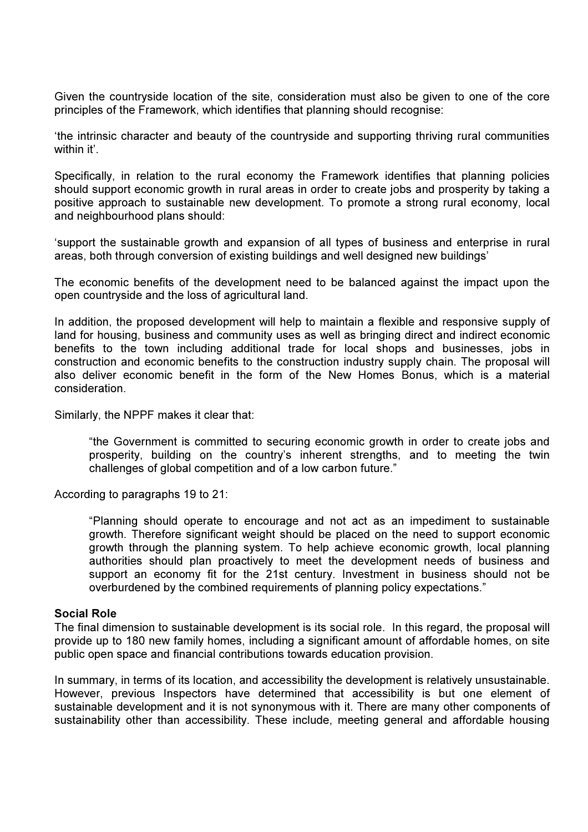Given the countryside location of the site, consideration must also be given to one of the core principles of the Framework, which identifies that planning should recognise:

'the intrinsic character and beauty of the countryside and supporting thriving rural communities within it'

Specifically, in relation to the rural economy the Framework identifies that planning policies should support economic growth in rural areas in order to create jobs and prosperity by taking a positive approach to sustainable new development. To promote a strong rural economy, local and neighbourhood plans should:

'support the sustainable growth and expansion of all types of business and enterprise in rural areas, both through conversion of existing buildings and well designed new buildings'

The economic benefits of the development need to be balanced against the impact upon the open countryside and the loss of agricultural land.

In addition, the proposed development will help to maintain a flexible and responsive supply of land for housing, business and community uses as well as bringing direct and indirect economic benefits to the town including additional trade for local shops and businesses, jobs in construction and economic benefits to the construction industry supply chain. The proposal will also deliver economic benefit in the form of the New Homes Bonus, which is a material consideration.

Similarly, the NPPF makes it clear that:

"the Government is committed to securing economic growth in order to create jobs and prosperity, building on the country's inherent strengths, and to meeting the twin challenges of global competition and of a low carbon future."

According to paragraphs 19 to 21:

"Planning should operate to encourage and not act as an impediment to sustainable growth. Therefore significant weight should be placed on the need to support economic growth through the planning system. To help achieve economic growth, local planning authorities should plan proactively to meet the development needs of business and support an economy fit for the 21st century. Investment in business should not be overburdened by the combined requirements of planning policy expectations."

#### Social Role

The final dimension to sustainable development is its social role. In this regard, the proposal will provide up to 180 new family homes, including a significant amount of affordable homes, on site public open space and financial contributions towards education provision.

In summary, in terms of its location, and accessibility the development is relatively unsustainable. However, previous Inspectors have determined that accessibility is but one element of sustainable development and it is not synonymous with it. There are many other components of sustainability other than accessibility. These include, meeting general and affordable housing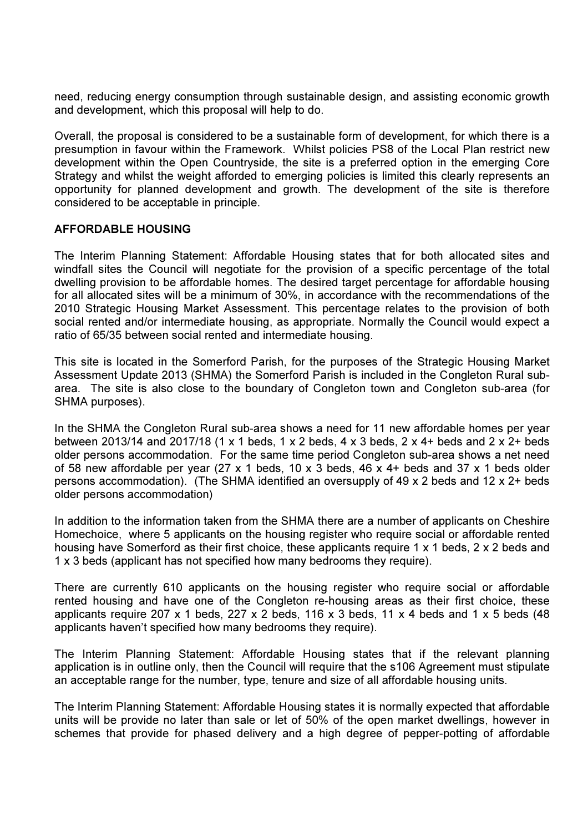need, reducing energy consumption through sustainable design, and assisting economic growth and development, which this proposal will help to do.

Overall, the proposal is considered to be a sustainable form of development, for which there is a presumption in favour within the Framework. Whilst policies PS8 of the Local Plan restrict new development within the Open Countryside, the site is a preferred option in the emerging Core Strategy and whilst the weight afforded to emerging policies is limited this clearly represents an opportunity for planned development and growth. The development of the site is therefore considered to be acceptable in principle.

# AFFORDABLE HOUSING

The Interim Planning Statement: Affordable Housing states that for both allocated sites and windfall sites the Council will negotiate for the provision of a specific percentage of the total dwelling provision to be affordable homes. The desired target percentage for affordable housing for all allocated sites will be a minimum of 30%, in accordance with the recommendations of the 2010 Strategic Housing Market Assessment. This percentage relates to the provision of both social rented and/or intermediate housing, as appropriate. Normally the Council would expect a ratio of 65/35 between social rented and intermediate housing.

This site is located in the Somerford Parish, for the purposes of the Strategic Housing Market Assessment Update 2013 (SHMA) the Somerford Parish is included in the Congleton Rural subarea. The site is also close to the boundary of Congleton town and Congleton sub-area (for SHMA purposes).

In the SHMA the Congleton Rural sub-area shows a need for 11 new affordable homes per year between 2013/14 and 2017/18 (1 x 1 beds, 1 x 2 beds, 4 x 3 beds, 2 x 4+ beds and 2 x 2+ beds older persons accommodation. For the same time period Congleton sub-area shows a net need of 58 new affordable per year (27 x 1 beds, 10 x 3 beds, 46 x 4+ beds and 37 x 1 beds older persons accommodation). (The SHMA identified an oversupply of 49 x 2 beds and 12 x 2+ beds older persons accommodation)

In addition to the information taken from the SHMA there are a number of applicants on Cheshire Homechoice, where 5 applicants on the housing register who require social or affordable rented housing have Somerford as their first choice, these applicants require 1 x 1 beds, 2 x 2 beds and 1 x 3 beds (applicant has not specified how many bedrooms they require).

There are currently 610 applicants on the housing register who require social or affordable rented housing and have one of the Congleton re-housing areas as their first choice, these applicants require 207 x 1 beds, 227 x 2 beds, 116 x 3 beds, 11 x 4 beds and 1 x 5 beds (48 applicants haven't specified how many bedrooms they require).

The Interim Planning Statement: Affordable Housing states that if the relevant planning application is in outline only, then the Council will require that the s106 Agreement must stipulate an acceptable range for the number, type, tenure and size of all affordable housing units.

The Interim Planning Statement: Affordable Housing states it is normally expected that affordable units will be provide no later than sale or let of 50% of the open market dwellings, however in schemes that provide for phased delivery and a high degree of pepper-potting of affordable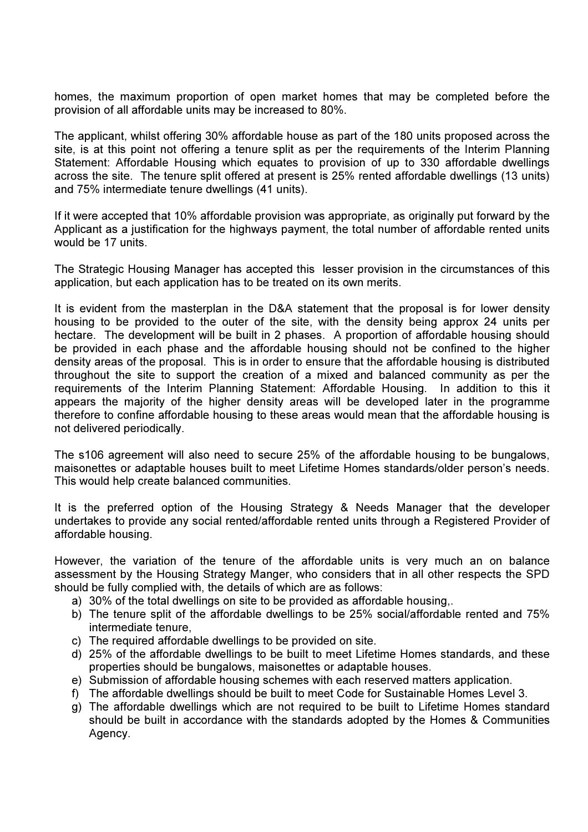homes, the maximum proportion of open market homes that may be completed before the provision of all affordable units may be increased to 80%.

The applicant, whilst offering 30% affordable house as part of the 180 units proposed across the site, is at this point not offering a tenure split as per the requirements of the Interim Planning Statement: Affordable Housing which equates to provision of up to 330 affordable dwellings across the site. The tenure split offered at present is 25% rented affordable dwellings (13 units) and 75% intermediate tenure dwellings (41 units).

If it were accepted that 10% affordable provision was appropriate, as originally put forward by the Applicant as a justification for the highways payment, the total number of affordable rented units would be 17 units.

The Strategic Housing Manager has accepted this lesser provision in the circumstances of this application, but each application has to be treated on its own merits.

It is evident from the masterplan in the D&A statement that the proposal is for lower density housing to be provided to the outer of the site, with the density being approx 24 units per hectare. The development will be built in 2 phases. A proportion of affordable housing should be provided in each phase and the affordable housing should not be confined to the higher density areas of the proposal. This is in order to ensure that the affordable housing is distributed throughout the site to support the creation of a mixed and balanced community as per the requirements of the Interim Planning Statement: Affordable Housing. In addition to this it appears the majority of the higher density areas will be developed later in the programme therefore to confine affordable housing to these areas would mean that the affordable housing is not delivered periodically.

The s106 agreement will also need to secure 25% of the affordable housing to be bungalows, maisonettes or adaptable houses built to meet Lifetime Homes standards/older person's needs. This would help create balanced communities.

It is the preferred option of the Housing Strategy & Needs Manager that the developer undertakes to provide any social rented/affordable rented units through a Registered Provider of affordable housing.

However, the variation of the tenure of the affordable units is very much an on balance assessment by the Housing Strategy Manger, who considers that in all other respects the SPD should be fully complied with, the details of which are as follows:

- a) 30% of the total dwellings on site to be provided as affordable housing,.
- b) The tenure split of the affordable dwellings to be 25% social/affordable rented and 75% intermediate tenure,
- c) The required affordable dwellings to be provided on site.
- d) 25% of the affordable dwellings to be built to meet Lifetime Homes standards, and these properties should be bungalows, maisonettes or adaptable houses.
- e) Submission of affordable housing schemes with each reserved matters application.
- f) The affordable dwellings should be built to meet Code for Sustainable Homes Level 3.
- g) The affordable dwellings which are not required to be built to Lifetime Homes standard should be built in accordance with the standards adopted by the Homes & Communities Agency.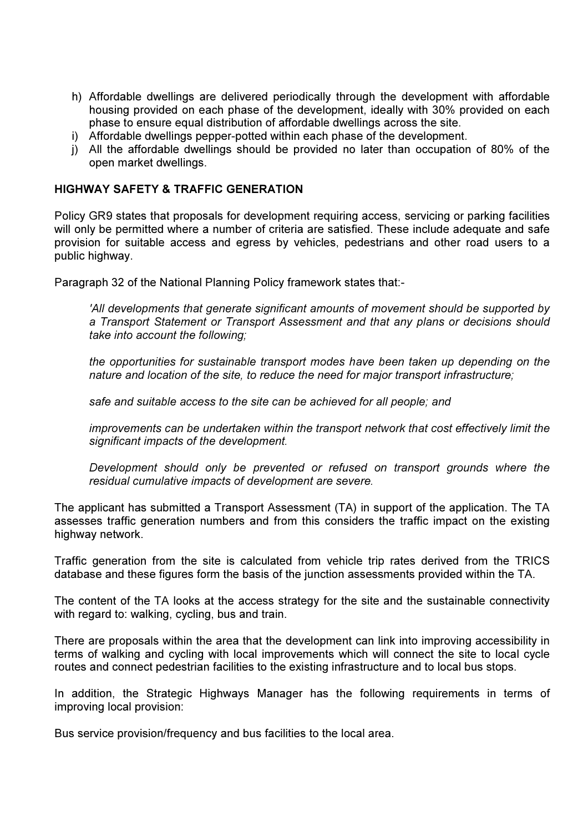- h) Affordable dwellings are delivered periodically through the development with affordable housing provided on each phase of the development, ideally with 30% provided on each phase to ensure equal distribution of affordable dwellings across the site.
- i) Affordable dwellings pepper-potted within each phase of the development.
- j) All the affordable dwellings should be provided no later than occupation of 80% of the open market dwellings.

### HIGHWAY SAFETY & TRAFFIC GENERATION

Policy GR9 states that proposals for development requiring access, servicing or parking facilities will only be permitted where a number of criteria are satisfied. These include adequate and safe provision for suitable access and egress by vehicles, pedestrians and other road users to a public highway.

Paragraph 32 of the National Planning Policy framework states that:-

'All developments that generate significant amounts of movement should be supported by a Transport Statement or Transport Assessment and that any plans or decisions should take into account the following;

the opportunities for sustainable transport modes have been taken up depending on the nature and location of the site, to reduce the need for major transport infrastructure;

safe and suitable access to the site can be achieved for all people; and

improvements can be undertaken within the transport network that cost effectively limit the significant impacts of the development.

Development should only be prevented or refused on transport grounds where the residual cumulative impacts of development are severe.

The applicant has submitted a Transport Assessment (TA) in support of the application. The TA assesses traffic generation numbers and from this considers the traffic impact on the existing highway network.

Traffic generation from the site is calculated from vehicle trip rates derived from the TRICS database and these figures form the basis of the junction assessments provided within the TA.

The content of the TA looks at the access strategy for the site and the sustainable connectivity with regard to: walking, cycling, bus and train.

There are proposals within the area that the development can link into improving accessibility in terms of walking and cycling with local improvements which will connect the site to local cycle routes and connect pedestrian facilities to the existing infrastructure and to local bus stops.

In addition, the Strategic Highways Manager has the following requirements in terms of improving local provision:

Bus service provision/frequency and bus facilities to the local area.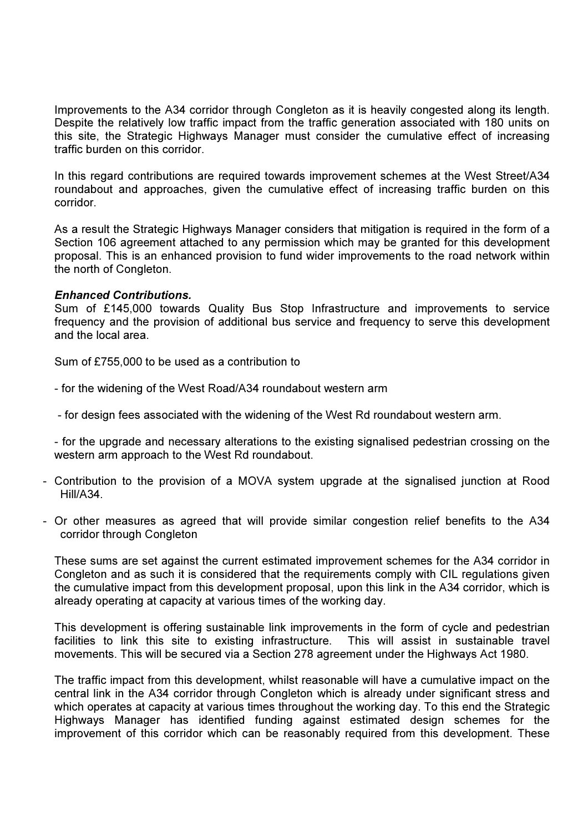Improvements to the A34 corridor through Congleton as it is heavily congested along its length. Despite the relatively low traffic impact from the traffic generation associated with 180 units on this site, the Strategic Highways Manager must consider the cumulative effect of increasing traffic burden on this corridor.

In this regard contributions are required towards improvement schemes at the West Street/A34 roundabout and approaches, given the cumulative effect of increasing traffic burden on this corridor.

As a result the Strategic Highways Manager considers that mitigation is required in the form of a Section 106 agreement attached to any permission which may be granted for this development proposal. This is an enhanced provision to fund wider improvements to the road network within the north of Congleton.

# Enhanced Contributions.

Sum of £145,000 towards Quality Bus Stop Infrastructure and improvements to service frequency and the provision of additional bus service and frequency to serve this development and the local area.

Sum of £755,000 to be used as a contribution to

- for the widening of the West Road/A34 roundabout western arm

- for design fees associated with the widening of the West Rd roundabout western arm.

- for the upgrade and necessary alterations to the existing signalised pedestrian crossing on the western arm approach to the West Rd roundabout.

- Contribution to the provision of a MOVA system upgrade at the signalised junction at Rood Hill/A34.
- Or other measures as agreed that will provide similar congestion relief benefits to the A34 corridor through Congleton

These sums are set against the current estimated improvement schemes for the A34 corridor in Congleton and as such it is considered that the requirements comply with CIL regulations given the cumulative impact from this development proposal, upon this link in the A34 corridor, which is already operating at capacity at various times of the working day.

This development is offering sustainable link improvements in the form of cycle and pedestrian facilities to link this site to existing infrastructure. This will assist in sustainable travel movements. This will be secured via a Section 278 agreement under the Highways Act 1980.

The traffic impact from this development, whilst reasonable will have a cumulative impact on the central link in the A34 corridor through Congleton which is already under significant stress and which operates at capacity at various times throughout the working day. To this end the Strategic Highways Manager has identified funding against estimated design schemes for the improvement of this corridor which can be reasonably required from this development. These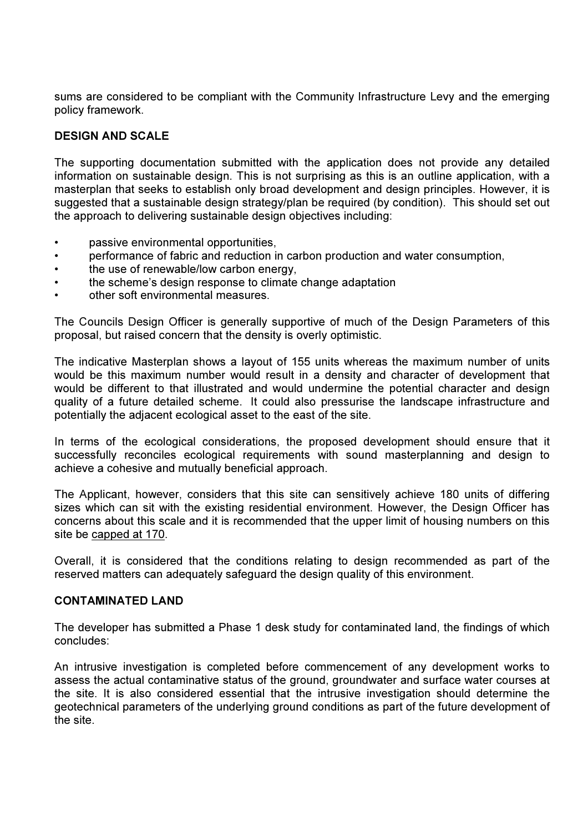sums are considered to be compliant with the Community Infrastructure Levy and the emerging policy framework.

# DESIGN AND SCALE

The supporting documentation submitted with the application does not provide any detailed information on sustainable design. This is not surprising as this is an outline application, with a masterplan that seeks to establish only broad development and design principles. However, it is suggested that a sustainable design strategy/plan be required (by condition). This should set out the approach to delivering sustainable design objectives including:

- passive environmental opportunities,
- performance of fabric and reduction in carbon production and water consumption,
- the use of renewable/low carbon energy,
- the scheme's design response to climate change adaptation
- other soft environmental measures.

The Councils Design Officer is generally supportive of much of the Design Parameters of this proposal, but raised concern that the density is overly optimistic.

The indicative Masterplan shows a layout of 155 units whereas the maximum number of units would be this maximum number would result in a density and character of development that would be different to that illustrated and would undermine the potential character and design quality of a future detailed scheme. It could also pressurise the landscape infrastructure and potentially the adjacent ecological asset to the east of the site.

In terms of the ecological considerations, the proposed development should ensure that it successfully reconciles ecological requirements with sound masterplanning and design to achieve a cohesive and mutually beneficial approach.

The Applicant, however, considers that this site can sensitively achieve 180 units of differing sizes which can sit with the existing residential environment. However, the Design Officer has concerns about this scale and it is recommended that the upper limit of housing numbers on this site be capped at 170.

Overall, it is considered that the conditions relating to design recommended as part of the reserved matters can adequately safeguard the design quality of this environment.

# CONTAMINATED LAND

The developer has submitted a Phase 1 desk study for contaminated land, the findings of which concludes:

An intrusive investigation is completed before commencement of any development works to assess the actual contaminative status of the ground, groundwater and surface water courses at the site. It is also considered essential that the intrusive investigation should determine the geotechnical parameters of the underlying ground conditions as part of the future development of the site.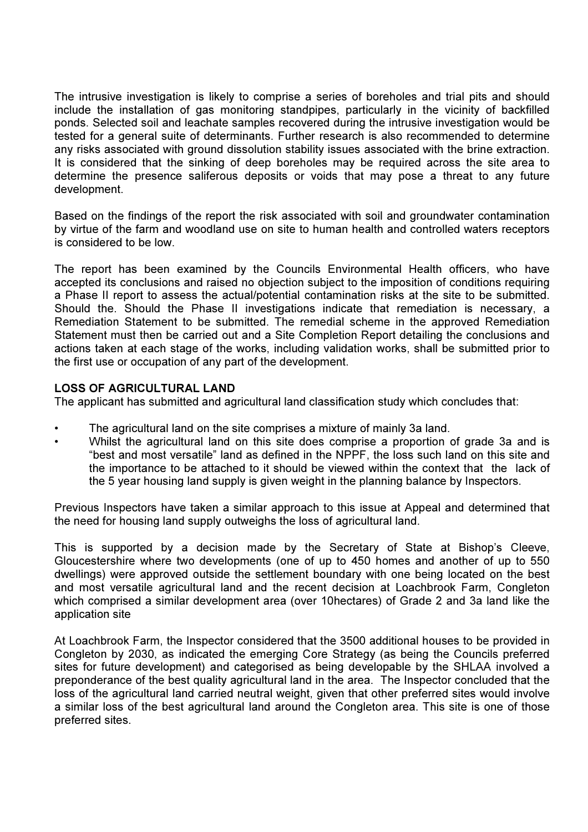The intrusive investigation is likely to comprise a series of boreholes and trial pits and should include the installation of gas monitoring standpipes, particularly in the vicinity of backfilled ponds. Selected soil and leachate samples recovered during the intrusive investigation would be tested for a general suite of determinants. Further research is also recommended to determine any risks associated with ground dissolution stability issues associated with the brine extraction. It is considered that the sinking of deep boreholes may be required across the site area to determine the presence saliferous deposits or voids that may pose a threat to any future development.

Based on the findings of the report the risk associated with soil and groundwater contamination by virtue of the farm and woodland use on site to human health and controlled waters receptors is considered to be low.

The report has been examined by the Councils Environmental Health officers, who have accepted its conclusions and raised no objection subject to the imposition of conditions requiring a Phase II report to assess the actual/potential contamination risks at the site to be submitted. Should the. Should the Phase II investigations indicate that remediation is necessary, a Remediation Statement to be submitted. The remedial scheme in the approved Remediation Statement must then be carried out and a Site Completion Report detailing the conclusions and actions taken at each stage of the works, including validation works, shall be submitted prior to the first use or occupation of any part of the development.

# LOSS OF AGRICULTURAL LAND

The applicant has submitted and agricultural land classification study which concludes that:

- The agricultural land on the site comprises a mixture of mainly 3a land.
- Whilst the agricultural land on this site does comprise a proportion of grade 3a and is "best and most versatile" land as defined in the NPPF, the loss such land on this site and the importance to be attached to it should be viewed within the context that the lack of the 5 year housing land supply is given weight in the planning balance by Inspectors.

Previous Inspectors have taken a similar approach to this issue at Appeal and determined that the need for housing land supply outweighs the loss of agricultural land.

This is supported by a decision made by the Secretary of State at Bishop's Cleeve, Gloucestershire where two developments (one of up to 450 homes and another of up to 550 dwellings) were approved outside the settlement boundary with one being located on the best and most versatile agricultural land and the recent decision at Loachbrook Farm, Congleton which comprised a similar development area (over 10hectares) of Grade 2 and 3a land like the application site

At Loachbrook Farm, the Inspector considered that the 3500 additional houses to be provided in Congleton by 2030, as indicated the emerging Core Strategy (as being the Councils preferred sites for future development) and categorised as being developable by the SHLAA involved a preponderance of the best quality agricultural land in the area. The Inspector concluded that the loss of the agricultural land carried neutral weight, given that other preferred sites would involve a similar loss of the best agricultural land around the Congleton area. This site is one of those preferred sites.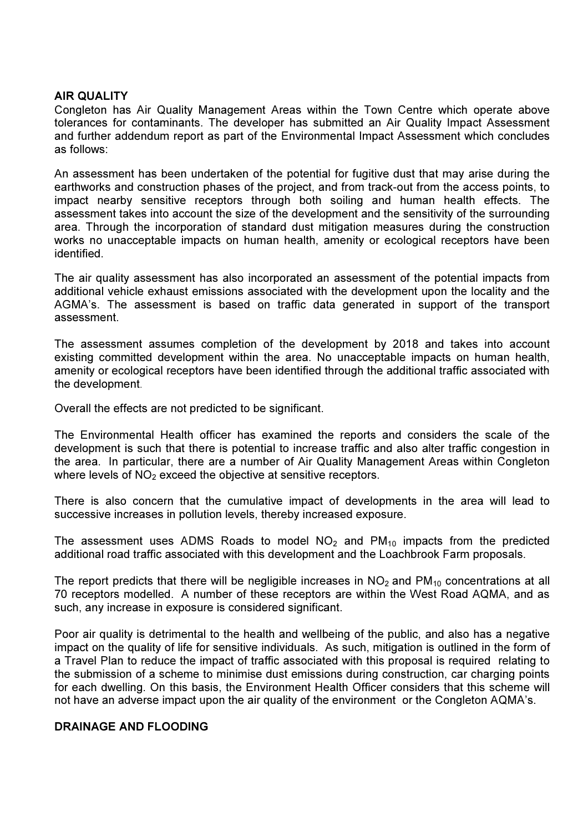# AIR QUALITY

Congleton has Air Quality Management Areas within the Town Centre which operate above tolerances for contaminants. The developer has submitted an Air Quality Impact Assessment and further addendum report as part of the Environmental Impact Assessment which concludes as follows:

An assessment has been undertaken of the potential for fugitive dust that may arise during the earthworks and construction phases of the project, and from track-out from the access points, to impact nearby sensitive receptors through both soiling and human health effects. The assessment takes into account the size of the development and the sensitivity of the surrounding area. Through the incorporation of standard dust mitigation measures during the construction works no unacceptable impacts on human health, amenity or ecological receptors have been identified.

The air quality assessment has also incorporated an assessment of the potential impacts from additional vehicle exhaust emissions associated with the development upon the locality and the AGMA's. The assessment is based on traffic data generated in support of the transport assessment.

The assessment assumes completion of the development by 2018 and takes into account existing committed development within the area. No unacceptable impacts on human health, amenity or ecological receptors have been identified through the additional traffic associated with the development.

Overall the effects are not predicted to be significant.

The Environmental Health officer has examined the reports and considers the scale of the development is such that there is potential to increase traffic and also alter traffic congestion in the area. In particular, there are a number of Air Quality Management Areas within Congleton where levels of  $NO<sub>2</sub>$  exceed the objective at sensitive receptors.

There is also concern that the cumulative impact of developments in the area will lead to successive increases in pollution levels, thereby increased exposure.

The assessment uses ADMS Roads to model  $NO<sub>2</sub>$  and PM<sub>10</sub> impacts from the predicted additional road traffic associated with this development and the Loachbrook Farm proposals.

The report predicts that there will be negligible increases in  $NO<sub>2</sub>$  and  $PM<sub>10</sub>$  concentrations at all 70 receptors modelled. A number of these receptors are within the West Road AQMA, and as such, any increase in exposure is considered significant.

Poor air quality is detrimental to the health and wellbeing of the public, and also has a negative impact on the quality of life for sensitive individuals. As such, mitigation is outlined in the form of a Travel Plan to reduce the impact of traffic associated with this proposal is required relating to the submission of a scheme to minimise dust emissions during construction, car charging points for each dwelling. On this basis, the Environment Health Officer considers that this scheme will not have an adverse impact upon the air quality of the environment or the Congleton AQMA's.

# DRAINAGE AND FLOODING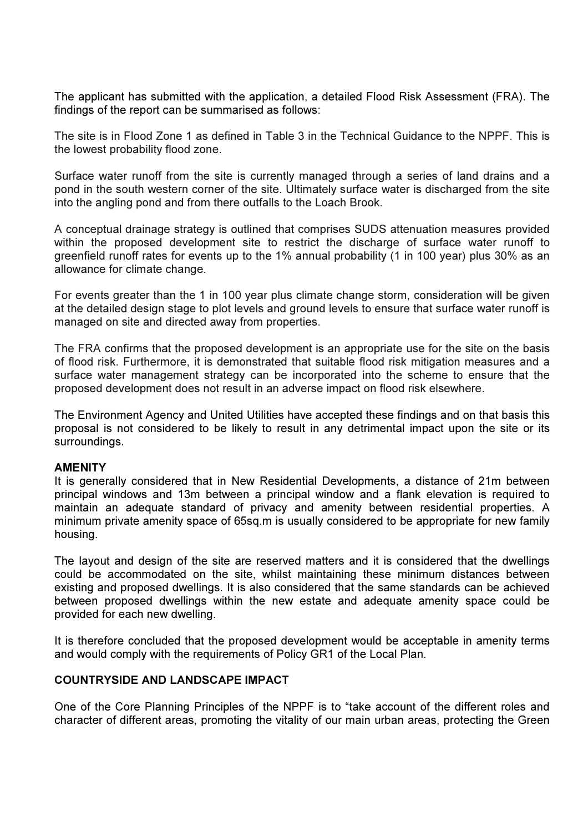The applicant has submitted with the application, a detailed Flood Risk Assessment (FRA). The findings of the report can be summarised as follows:

The site is in Flood Zone 1 as defined in Table 3 in the Technical Guidance to the NPPF. This is the lowest probability flood zone.

Surface water runoff from the site is currently managed through a series of land drains and a pond in the south western corner of the site. Ultimately surface water is discharged from the site into the angling pond and from there outfalls to the Loach Brook.

A conceptual drainage strategy is outlined that comprises SUDS attenuation measures provided within the proposed development site to restrict the discharge of surface water runoff to greenfield runoff rates for events up to the 1% annual probability (1 in 100 year) plus 30% as an allowance for climate change.

For events greater than the 1 in 100 year plus climate change storm, consideration will be given at the detailed design stage to plot levels and ground levels to ensure that surface water runoff is managed on site and directed away from properties.

The FRA confirms that the proposed development is an appropriate use for the site on the basis of flood risk. Furthermore, it is demonstrated that suitable flood risk mitigation measures and a surface water management strategy can be incorporated into the scheme to ensure that the proposed development does not result in an adverse impact on flood risk elsewhere.

The Environment Agency and United Utilities have accepted these findings and on that basis this proposal is not considered to be likely to result in any detrimental impact upon the site or its surroundings.

# **AMENITY**

It is generally considered that in New Residential Developments, a distance of 21m between principal windows and 13m between a principal window and a flank elevation is required to maintain an adequate standard of privacy and amenity between residential properties. A minimum private amenity space of 65sq.m is usually considered to be appropriate for new family housing.

The layout and design of the site are reserved matters and it is considered that the dwellings could be accommodated on the site, whilst maintaining these minimum distances between existing and proposed dwellings. It is also considered that the same standards can be achieved between proposed dwellings within the new estate and adequate amenity space could be provided for each new dwelling.

It is therefore concluded that the proposed development would be acceptable in amenity terms and would comply with the requirements of Policy GR1 of the Local Plan.

### COUNTRYSIDE AND LANDSCAPE IMPACT

One of the Core Planning Principles of the NPPF is to "take account of the different roles and character of different areas, promoting the vitality of our main urban areas, protecting the Green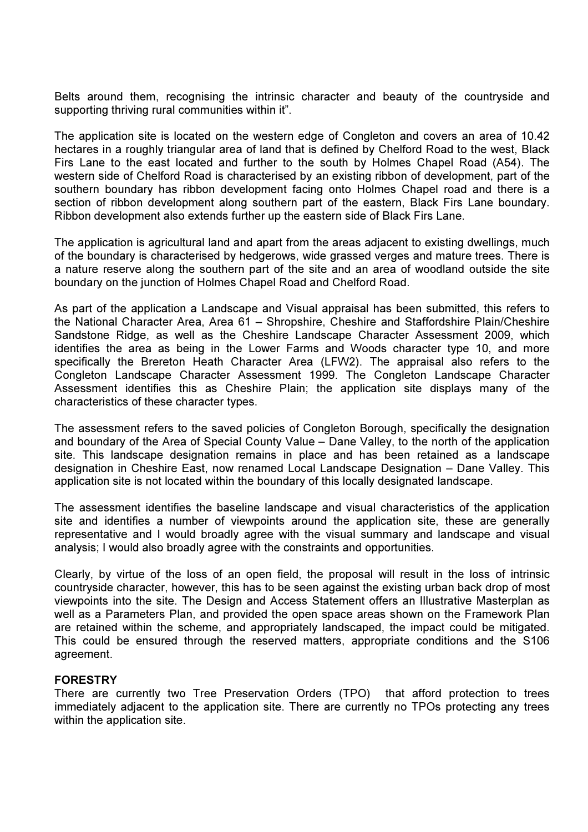Belts around them, recognising the intrinsic character and beauty of the countryside and supporting thriving rural communities within it".

The application site is located on the western edge of Congleton and covers an area of 10.42 hectares in a roughly triangular area of land that is defined by Chelford Road to the west, Black Firs Lane to the east located and further to the south by Holmes Chapel Road (A54). The western side of Chelford Road is characterised by an existing ribbon of development, part of the southern boundary has ribbon development facing onto Holmes Chapel road and there is a section of ribbon development along southern part of the eastern, Black Firs Lane boundary. Ribbon development also extends further up the eastern side of Black Firs Lane.

The application is agricultural land and apart from the areas adjacent to existing dwellings, much of the boundary is characterised by hedgerows, wide grassed verges and mature trees. There is a nature reserve along the southern part of the site and an area of woodland outside the site boundary on the junction of Holmes Chapel Road and Chelford Road.

As part of the application a Landscape and Visual appraisal has been submitted, this refers to the National Character Area, Area 61 – Shropshire, Cheshire and Staffordshire Plain/Cheshire Sandstone Ridge, as well as the Cheshire Landscape Character Assessment 2009, which identifies the area as being in the Lower Farms and Woods character type 10, and more specifically the Brereton Heath Character Area (LFW2). The appraisal also refers to the Congleton Landscape Character Assessment 1999. The Congleton Landscape Character Assessment identifies this as Cheshire Plain; the application site displays many of the characteristics of these character types.

The assessment refers to the saved policies of Congleton Borough, specifically the designation and boundary of the Area of Special County Value – Dane Valley, to the north of the application site. This landscape designation remains in place and has been retained as a landscape designation in Cheshire East, now renamed Local Landscape Designation – Dane Valley. This application site is not located within the boundary of this locally designated landscape.

The assessment identifies the baseline landscape and visual characteristics of the application site and identifies a number of viewpoints around the application site, these are generally representative and I would broadly agree with the visual summary and landscape and visual analysis; I would also broadly agree with the constraints and opportunities.

Clearly, by virtue of the loss of an open field, the proposal will result in the loss of intrinsic countryside character, however, this has to be seen against the existing urban back drop of most viewpoints into the site. The Design and Access Statement offers an Illustrative Masterplan as well as a Parameters Plan, and provided the open space areas shown on the Framework Plan are retained within the scheme, and appropriately landscaped, the impact could be mitigated. This could be ensured through the reserved matters, appropriate conditions and the S106 agreement.

# FORESTRY

There are currently two Tree Preservation Orders (TPO) that afford protection to trees immediately adjacent to the application site. There are currently no TPOs protecting any trees within the application site.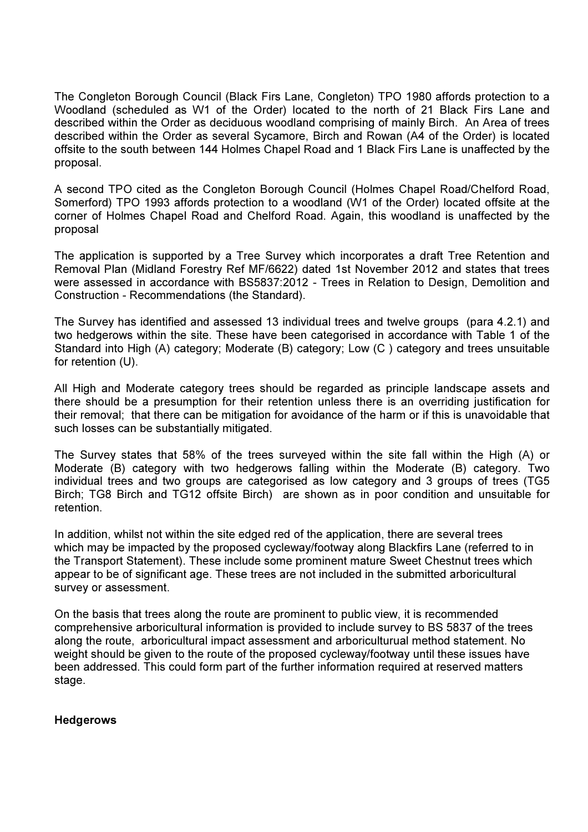The Congleton Borough Council (Black Firs Lane, Congleton) TPO 1980 affords protection to a Woodland (scheduled as W1 of the Order) located to the north of 21 Black Firs Lane and described within the Order as deciduous woodland comprising of mainly Birch. An Area of trees described within the Order as several Sycamore, Birch and Rowan (A4 of the Order) is located offsite to the south between 144 Holmes Chapel Road and 1 Black Firs Lane is unaffected by the proposal.

A second TPO cited as the Congleton Borough Council (Holmes Chapel Road/Chelford Road, Somerford) TPO 1993 affords protection to a woodland (W1 of the Order) located offsite at the corner of Holmes Chapel Road and Chelford Road. Again, this woodland is unaffected by the proposal

The application is supported by a Tree Survey which incorporates a draft Tree Retention and Removal Plan (Midland Forestry Ref MF/6622) dated 1st November 2012 and states that trees were assessed in accordance with BS5837:2012 - Trees in Relation to Design, Demolition and Construction - Recommendations (the Standard).

The Survey has identified and assessed 13 individual trees and twelve groups (para 4.2.1) and two hedgerows within the site. These have been categorised in accordance with Table 1 of the Standard into High (A) category; Moderate (B) category; Low (C ) category and trees unsuitable for retention (U).

All High and Moderate category trees should be regarded as principle landscape assets and there should be a presumption for their retention unless there is an overriding justification for their removal; that there can be mitigation for avoidance of the harm or if this is unavoidable that such losses can be substantially mitigated.

The Survey states that 58% of the trees surveyed within the site fall within the High (A) or Moderate (B) category with two hedgerows falling within the Moderate (B) category. Two individual trees and two groups are categorised as low category and 3 groups of trees (TG5 Birch; TG8 Birch and TG12 offsite Birch) are shown as in poor condition and unsuitable for retention.

In addition, whilst not within the site edged red of the application, there are several trees which may be impacted by the proposed cycleway/footway along Blackfirs Lane (referred to in the Transport Statement). These include some prominent mature Sweet Chestnut trees which appear to be of significant age. These trees are not included in the submitted arboricultural survey or assessment.

On the basis that trees along the route are prominent to public view, it is recommended comprehensive arboricultural information is provided to include survey to BS 5837 of the trees along the route, arboricultural impact assessment and arboriculturual method statement. No weight should be given to the route of the proposed cycleway/footway until these issues have been addressed. This could form part of the further information required at reserved matters stage.

**Hedgerows**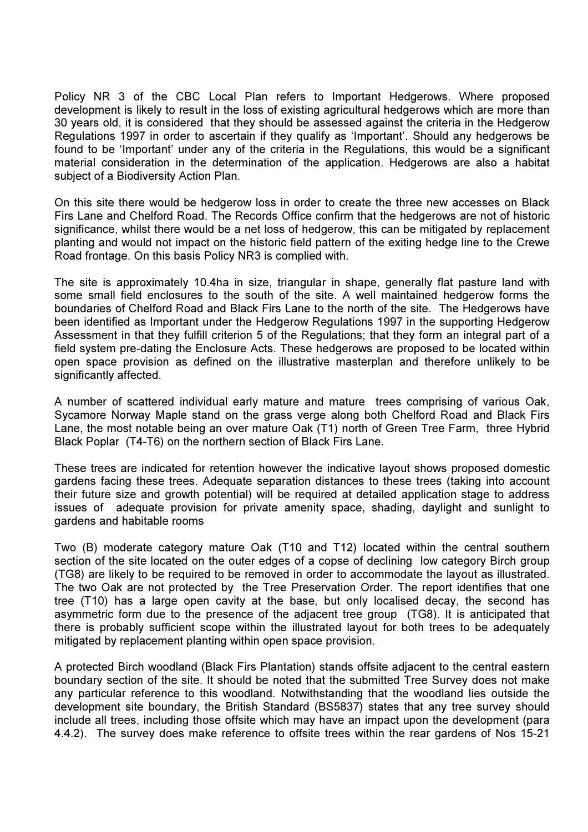Policy NR 3 of the CBC Local Plan refers to Important Hedgerows. Where proposed development is likely to result in the loss of existing agricultural hedgerows which are more than 30 years old, it is considered that they should be assessed against the criteria in the Hedgerow Regulations 1997 in order to ascertain if they qualify as 'Important'. Should any hedgerows be found to be 'Important' under any of the criteria in the Regulations, this would be a significant material consideration in the determination of the application. Hedgerows are also a habitat subject of a Biodiversity Action Plan.

On this site there would be hedgerow loss in order to create the three new accesses on Black Firs Lane and Chelford Road. The Records Office confirm that the hedgerows are not of historic significance, whilst there would be a net loss of hedgerow, this can be mitigated by replacement planting and would not impact on the historic field pattern of the exiting hedge line to the Crewe Road frontage. On this basis Policy NR3 is complied with.

The site is approximately 10.4ha in size, triangular in shape, generally flat pasture land with some small field enclosures to the south of the site. A well maintained hedgerow forms the boundaries of Chelford Road and Black Firs Lane to the north of the site. The Hedgerows have been identified as Important under the Hedgerow Regulations 1997 in the supporting Hedgerow Assessment in that they fulfill criterion 5 of the Regulations; that they form an integral part of a field system pre-dating the Enclosure Acts. These hedgerows are proposed to be located within open space provision as defined on the illustrative masterplan and therefore unlikely to be significantly affected.

A number of scattered individual early mature and mature trees comprising of various Oak, Sycamore Norway Maple stand on the grass verge along both Chelford Road and Black Firs Lane, the most notable being an over mature Oak (T1) north of Green Tree Farm, three Hybrid Black Poplar (T4-T6) on the northern section of Black Firs Lane.

These trees are indicated for retention however the indicative layout shows proposed domestic gardens facing these trees. Adequate separation distances to these trees (taking into account their future size and growth potential) will be required at detailed application stage to address issues of adequate provision for private amenity space, shading, daylight and sunlight to gardens and habitable rooms

Two (B) moderate category mature Oak (T10 and T12) located within the central southern section of the site located on the outer edges of a copse of declining low category Birch group (TG8) are likely to be required to be removed in order to accommodate the layout as illustrated. The two Oak are not protected by the Tree Preservation Order. The report identifies that one tree (T10) has a large open cavity at the base, but only localised decay, the second has asymmetric form due to the presence of the adjacent tree group (TG8). It is anticipated that there is probably sufficient scope within the illustrated layout for both trees to be adequately mitigated by replacement planting within open space provision.

A protected Birch woodland (Black Firs Plantation) stands offsite adjacent to the central eastern boundary section of the site. It should be noted that the submitted Tree Survey does not make any particular reference to this woodland. Notwithstanding that the woodland lies outside the development site boundary, the British Standard (BS5837) states that any tree survey should include all trees, including those offsite which may have an impact upon the development (para 4.4.2). The survey does make reference to offsite trees within the rear gardens of Nos 15-21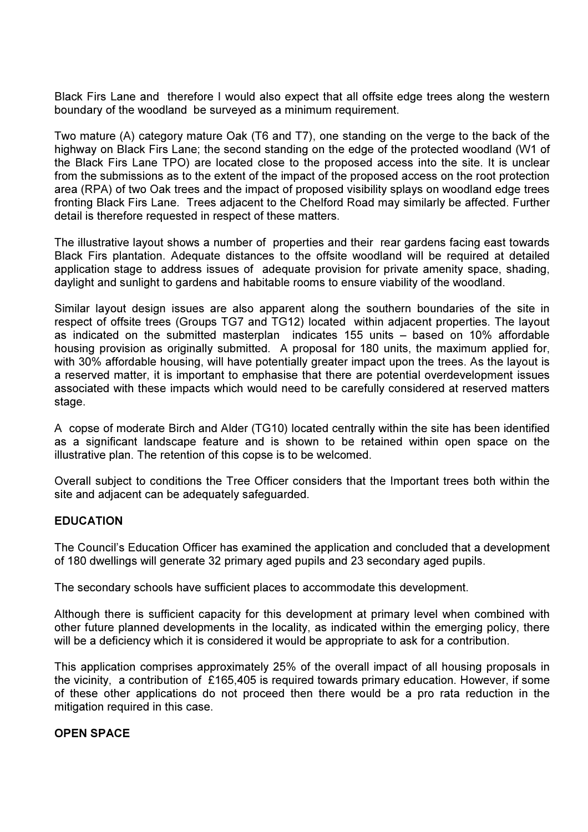Black Firs Lane and therefore I would also expect that all offsite edge trees along the western boundary of the woodland be surveyed as a minimum requirement.

Two mature (A) category mature Oak (T6 and T7), one standing on the verge to the back of the highway on Black Firs Lane; the second standing on the edge of the protected woodland (W1 of the Black Firs Lane TPO) are located close to the proposed access into the site. It is unclear from the submissions as to the extent of the impact of the proposed access on the root protection area (RPA) of two Oak trees and the impact of proposed visibility splays on woodland edge trees fronting Black Firs Lane. Trees adjacent to the Chelford Road may similarly be affected. Further detail is therefore requested in respect of these matters.

The illustrative layout shows a number of properties and their rear gardens facing east towards Black Firs plantation. Adequate distances to the offsite woodland will be required at detailed application stage to address issues of adequate provision for private amenity space, shading, daylight and sunlight to gardens and habitable rooms to ensure viability of the woodland.

Similar layout design issues are also apparent along the southern boundaries of the site in respect of offsite trees (Groups TG7 and TG12) located within adjacent properties. The layout as indicated on the submitted masterplan indicates 155 units – based on 10% affordable housing provision as originally submitted. A proposal for 180 units, the maximum applied for, with 30% affordable housing, will have potentially greater impact upon the trees. As the layout is a reserved matter, it is important to emphasise that there are potential overdevelopment issues associated with these impacts which would need to be carefully considered at reserved matters stage.

A copse of moderate Birch and Alder (TG10) located centrally within the site has been identified as a significant landscape feature and is shown to be retained within open space on the illustrative plan. The retention of this copse is to be welcomed.

Overall subject to conditions the Tree Officer considers that the Important trees both within the site and adjacent can be adequately safeguarded.

# EDUCATION

The Council's Education Officer has examined the application and concluded that a development of 180 dwellings will generate 32 primary aged pupils and 23 secondary aged pupils.

The secondary schools have sufficient places to accommodate this development.

Although there is sufficient capacity for this development at primary level when combined with other future planned developments in the locality, as indicated within the emerging policy, there will be a deficiency which it is considered it would be appropriate to ask for a contribution.

This application comprises approximately 25% of the overall impact of all housing proposals in the vicinity, a contribution of £165,405 is required towards primary education. However, if some of these other applications do not proceed then there would be a pro rata reduction in the mitigation required in this case.

# OPEN SPACE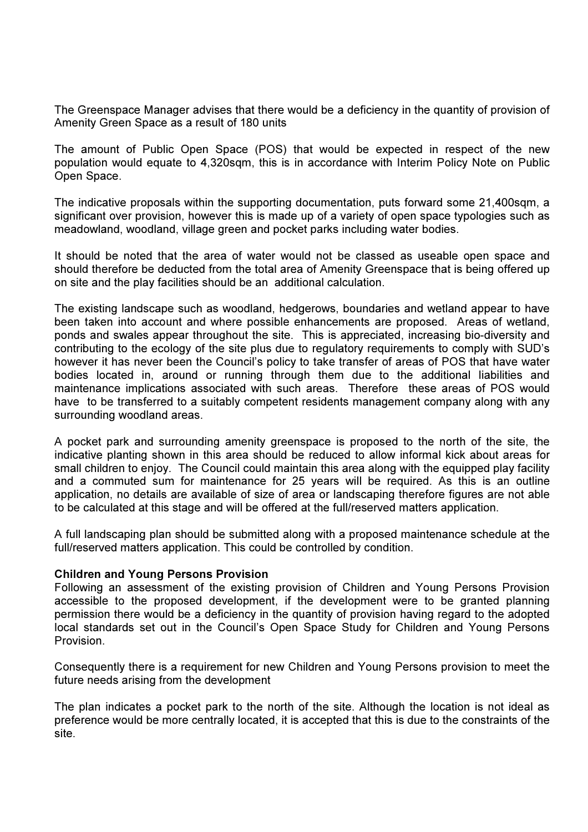The Greenspace Manager advises that there would be a deficiency in the quantity of provision of Amenity Green Space as a result of 180 units

The amount of Public Open Space (POS) that would be expected in respect of the new population would equate to 4,320sqm, this is in accordance with Interim Policy Note on Public Open Space.

The indicative proposals within the supporting documentation, puts forward some 21,400sqm, a significant over provision, however this is made up of a variety of open space typologies such as meadowland, woodland, village green and pocket parks including water bodies.

It should be noted that the area of water would not be classed as useable open space and should therefore be deducted from the total area of Amenity Greenspace that is being offered up on site and the play facilities should be an additional calculation.

The existing landscape such as woodland, hedgerows, boundaries and wetland appear to have been taken into account and where possible enhancements are proposed. Areas of wetland, ponds and swales appear throughout the site. This is appreciated, increasing bio-diversity and contributing to the ecology of the site plus due to regulatory requirements to comply with SUD's however it has never been the Council's policy to take transfer of areas of POS that have water bodies located in, around or running through them due to the additional liabilities and maintenance implications associated with such areas. Therefore these areas of POS would have to be transferred to a suitably competent residents management company along with any surrounding woodland areas.

A pocket park and surrounding amenity greenspace is proposed to the north of the site, the indicative planting shown in this area should be reduced to allow informal kick about areas for small children to enjoy. The Council could maintain this area along with the equipped play facility and a commuted sum for maintenance for 25 years will be required. As this is an outline application, no details are available of size of area or landscaping therefore figures are not able to be calculated at this stage and will be offered at the full/reserved matters application.

A full landscaping plan should be submitted along with a proposed maintenance schedule at the full/reserved matters application. This could be controlled by condition.

# Children and Young Persons Provision

Following an assessment of the existing provision of Children and Young Persons Provision accessible to the proposed development, if the development were to be granted planning permission there would be a deficiency in the quantity of provision having regard to the adopted local standards set out in the Council's Open Space Study for Children and Young Persons Provision.

Consequently there is a requirement for new Children and Young Persons provision to meet the future needs arising from the development

The plan indicates a pocket park to the north of the site. Although the location is not ideal as preference would be more centrally located, it is accepted that this is due to the constraints of the site.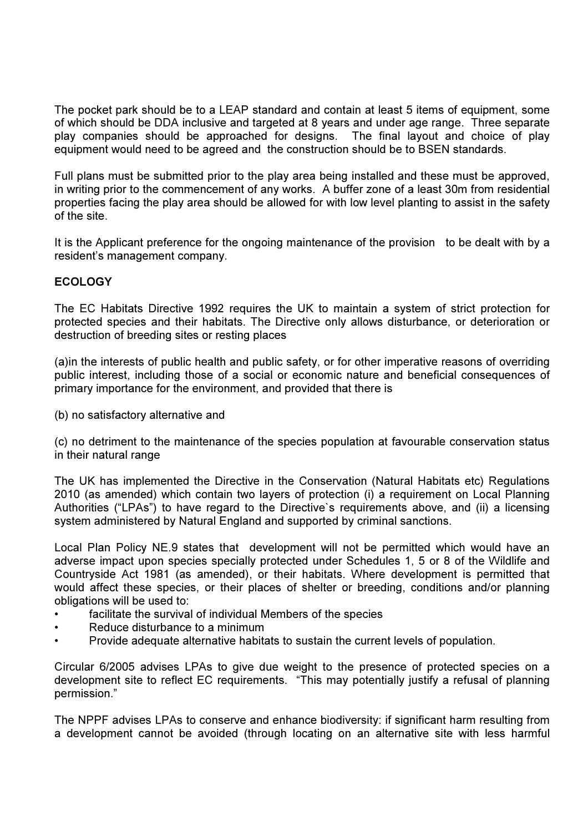The pocket park should be to a LEAP standard and contain at least 5 items of equipment, some of which should be DDA inclusive and targeted at 8 years and under age range. Three separate play companies should be approached for designs. The final layout and choice of play equipment would need to be agreed and the construction should be to BSEN standards.

Full plans must be submitted prior to the play area being installed and these must be approved, in writing prior to the commencement of any works. A buffer zone of a least 30m from residential properties facing the play area should be allowed for with low level planting to assist in the safety of the site.

It is the Applicant preference for the ongoing maintenance of the provision to be dealt with by a resident's management company.

# ECOLOGY

The EC Habitats Directive 1992 requires the UK to maintain a system of strict protection for protected species and their habitats. The Directive only allows disturbance, or deterioration or destruction of breeding sites or resting places

(a)in the interests of public health and public safety, or for other imperative reasons of overriding public interest, including those of a social or economic nature and beneficial consequences of primary importance for the environment, and provided that there is

(b) no satisfactory alternative and

(c) no detriment to the maintenance of the species population at favourable conservation status in their natural range

The UK has implemented the Directive in the Conservation (Natural Habitats etc) Regulations 2010 (as amended) which contain two layers of protection (i) a requirement on Local Planning Authorities ("LPAs") to have regard to the Directive`s requirements above, and (ii) a licensing system administered by Natural England and supported by criminal sanctions.

Local Plan Policy NE.9 states that development will not be permitted which would have an adverse impact upon species specially protected under Schedules 1, 5 or 8 of the Wildlife and Countryside Act 1981 (as amended), or their habitats. Where development is permitted that would affect these species, or their places of shelter or breeding, conditions and/or planning obligations will be used to:

- facilitate the survival of individual Members of the species
- Reduce disturbance to a minimum
- Provide adequate alternative habitats to sustain the current levels of population.

Circular 6/2005 advises LPAs to give due weight to the presence of protected species on a development site to reflect EC requirements. "This may potentially justify a refusal of planning permission."

The NPPF advises LPAs to conserve and enhance biodiversity: if significant harm resulting from a development cannot be avoided (through locating on an alternative site with less harmful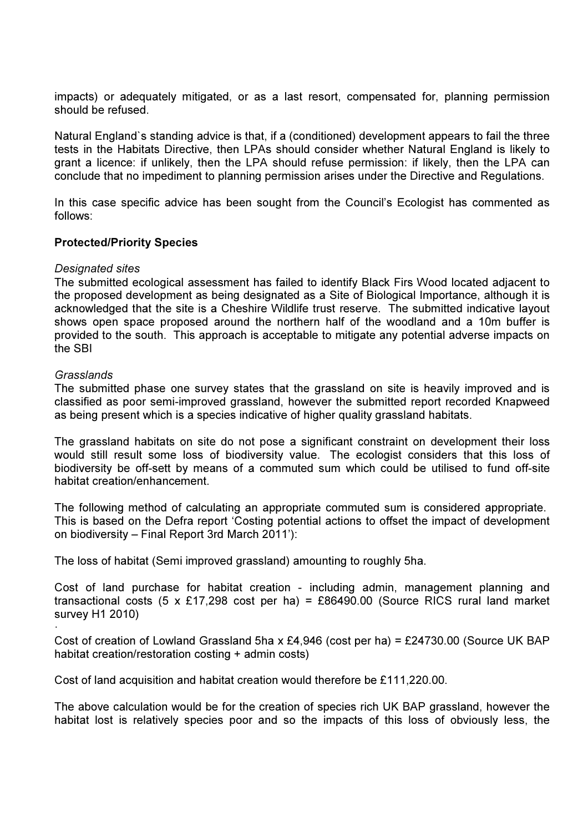impacts) or adequately mitigated, or as a last resort, compensated for, planning permission should be refused.

Natural England`s standing advice is that, if a (conditioned) development appears to fail the three tests in the Habitats Directive, then LPAs should consider whether Natural England is likely to grant a licence: if unlikely, then the LPA should refuse permission: if likely, then the LPA can conclude that no impediment to planning permission arises under the Directive and Regulations.

In this case specific advice has been sought from the Council's Ecologist has commented as follows:

# Protected/Priority Species

# Designated sites

The submitted ecological assessment has failed to identify Black Firs Wood located adjacent to the proposed development as being designated as a Site of Biological Importance, although it is acknowledged that the site is a Cheshire Wildlife trust reserve. The submitted indicative layout shows open space proposed around the northern half of the woodland and a 10m buffer is provided to the south. This approach is acceptable to mitigate any potential adverse impacts on the SBI

# **Grasslands**

The submitted phase one survey states that the grassland on site is heavily improved and is classified as poor semi-improved grassland, however the submitted report recorded Knapweed as being present which is a species indicative of higher quality grassland habitats.

The grassland habitats on site do not pose a significant constraint on development their loss would still result some loss of biodiversity value. The ecologist considers that this loss of biodiversity be off-sett by means of a commuted sum which could be utilised to fund off-site habitat creation/enhancement.

The following method of calculating an appropriate commuted sum is considered appropriate. This is based on the Defra report 'Costing potential actions to offset the impact of development on biodiversity – Final Report 3rd March 2011'):

The loss of habitat (Semi improved grassland) amounting to roughly 5ha.

Cost of land purchase for habitat creation - including admin, management planning and transactional costs (5 x £17,298 cost per ha) = £86490.00 (Source RICS rural land market survey H1 2010)

· Cost of creation of Lowland Grassland 5ha x £4,946 (cost per ha) = £24730.00 (Source UK BAP habitat creation/restoration costing + admin costs)

Cost of land acquisition and habitat creation would therefore be £111,220.00.

The above calculation would be for the creation of species rich UK BAP grassland, however the habitat lost is relatively species poor and so the impacts of this loss of obviously less, the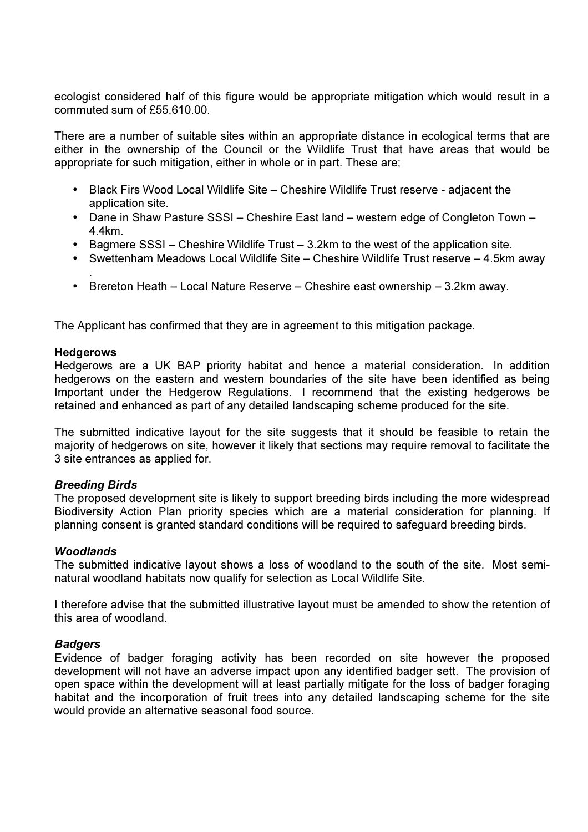ecologist considered half of this figure would be appropriate mitigation which would result in a commuted sum of £55,610.00.

There are a number of suitable sites within an appropriate distance in ecological terms that are either in the ownership of the Council or the Wildlife Trust that have areas that would be appropriate for such mitigation, either in whole or in part. These are;

- Black Firs Wood Local Wildlife Site Cheshire Wildlife Trust reserve adjacent the application site.
- Dane in Shaw Pasture SSSI Cheshire East land western edge of Congleton Town 4.4km.
- Bagmere SSSI Cheshire Wildlife Trust 3.2km to the west of the application site.
- Swettenham Meadows Local Wildlife Site Cheshire Wildlife Trust reserve 4.5km away
- Brereton Heath Local Nature Reserve Cheshire east ownership 3.2km away.

The Applicant has confirmed that they are in agreement to this mitigation package.

### **Hedgerows**

.

Hedgerows are a UK BAP priority habitat and hence a material consideration. In addition hedgerows on the eastern and western boundaries of the site have been identified as being Important under the Hedgerow Regulations. I recommend that the existing hedgerows be retained and enhanced as part of any detailed landscaping scheme produced for the site.

The submitted indicative layout for the site suggests that it should be feasible to retain the majority of hedgerows on site, however it likely that sections may require removal to facilitate the 3 site entrances as applied for.

# Breeding Birds

The proposed development site is likely to support breeding birds including the more widespread Biodiversity Action Plan priority species which are a material consideration for planning. If planning consent is granted standard conditions will be required to safeguard breeding birds.

# Woodlands

The submitted indicative layout shows a loss of woodland to the south of the site. Most seminatural woodland habitats now qualify for selection as Local Wildlife Site.

I therefore advise that the submitted illustrative layout must be amended to show the retention of this area of woodland.

# **Badgers**

Evidence of badger foraging activity has been recorded on site however the proposed development will not have an adverse impact upon any identified badger sett. The provision of open space within the development will at least partially mitigate for the loss of badger foraging habitat and the incorporation of fruit trees into any detailed landscaping scheme for the site would provide an alternative seasonal food source.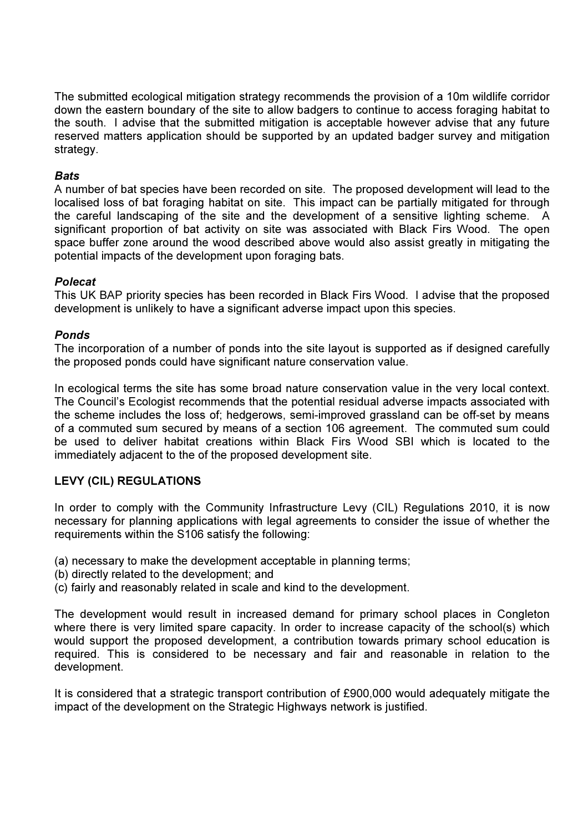The submitted ecological mitigation strategy recommends the provision of a 10m wildlife corridor down the eastern boundary of the site to allow badgers to continue to access foraging habitat to the south. I advise that the submitted mitigation is acceptable however advise that any future reserved matters application should be supported by an updated badger survey and mitigation strategy.

# **Bats**

A number of bat species have been recorded on site. The proposed development will lead to the localised loss of bat foraging habitat on site. This impact can be partially mitigated for through the careful landscaping of the site and the development of a sensitive lighting scheme. A significant proportion of bat activity on site was associated with Black Firs Wood. The open space buffer zone around the wood described above would also assist greatly in mitigating the potential impacts of the development upon foraging bats.

# Polecat

This UK BAP priority species has been recorded in Black Firs Wood. I advise that the proposed development is unlikely to have a significant adverse impact upon this species.

# Ponds

The incorporation of a number of ponds into the site layout is supported as if designed carefully the proposed ponds could have significant nature conservation value.

In ecological terms the site has some broad nature conservation value in the very local context. The Council's Ecologist recommends that the potential residual adverse impacts associated with the scheme includes the loss of; hedgerows, semi-improved grassland can be off-set by means of a commuted sum secured by means of a section 106 agreement. The commuted sum could be used to deliver habitat creations within Black Firs Wood SBI which is located to the immediately adjacent to the of the proposed development site.

# LEVY (CIL) REGULATIONS

In order to comply with the Community Infrastructure Levy (CIL) Regulations 2010, it is now necessary for planning applications with legal agreements to consider the issue of whether the requirements within the S106 satisfy the following:

(a) necessary to make the development acceptable in planning terms;

- (b) directly related to the development; and
- (c) fairly and reasonably related in scale and kind to the development.

The development would result in increased demand for primary school places in Congleton where there is very limited spare capacity. In order to increase capacity of the school(s) which would support the proposed development, a contribution towards primary school education is required. This is considered to be necessary and fair and reasonable in relation to the development.

It is considered that a strategic transport contribution of £900,000 would adequately mitigate the impact of the development on the Strategic Highways network is justified.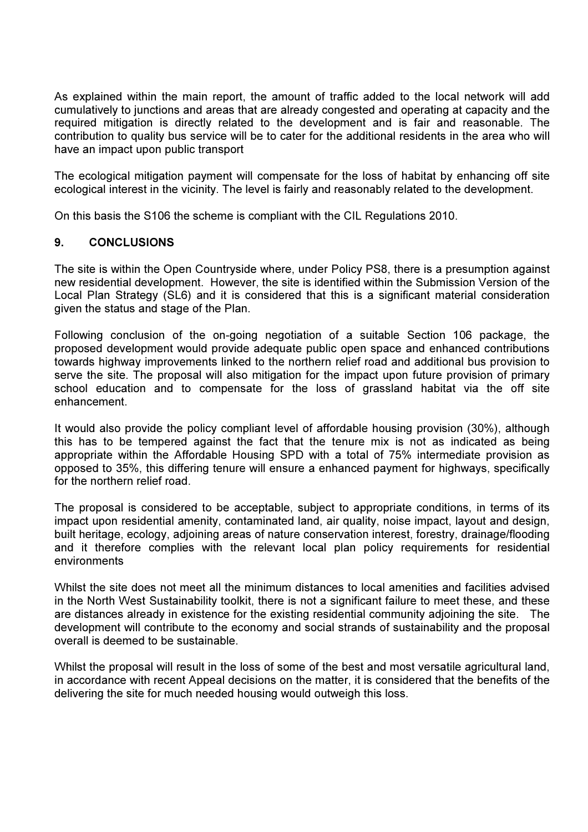As explained within the main report, the amount of traffic added to the local network will add cumulatively to junctions and areas that are already congested and operating at capacity and the required mitigation is directly related to the development and is fair and reasonable. The contribution to quality bus service will be to cater for the additional residents in the area who will have an impact upon public transport

The ecological mitigation payment will compensate for the loss of habitat by enhancing off site ecological interest in the vicinity. The level is fairly and reasonably related to the development.

On this basis the S106 the scheme is compliant with the CIL Regulations 2010.

# 9. CONCLUSIONS

The site is within the Open Countryside where, under Policy PS8, there is a presumption against new residential development. However, the site is identified within the Submission Version of the Local Plan Strategy (SL6) and it is considered that this is a significant material consideration given the status and stage of the Plan.

Following conclusion of the on-going negotiation of a suitable Section 106 package, the proposed development would provide adequate public open space and enhanced contributions towards highway improvements linked to the northern relief road and additional bus provision to serve the site. The proposal will also mitigation for the impact upon future provision of primary school education and to compensate for the loss of grassland habitat via the off site enhancement.

It would also provide the policy compliant level of affordable housing provision (30%), although this has to be tempered against the fact that the tenure mix is not as indicated as being appropriate within the Affordable Housing SPD with a total of 75% intermediate provision as opposed to 35%, this differing tenure will ensure a enhanced payment for highways, specifically for the northern relief road.

The proposal is considered to be acceptable, subject to appropriate conditions, in terms of its impact upon residential amenity, contaminated land, air quality, noise impact, layout and design, built heritage, ecology, adjoining areas of nature conservation interest, forestry, drainage/flooding and it therefore complies with the relevant local plan policy requirements for residential environments

Whilst the site does not meet all the minimum distances to local amenities and facilities advised in the North West Sustainability toolkit, there is not a significant failure to meet these, and these are distances already in existence for the existing residential community adjoining the site. The development will contribute to the economy and social strands of sustainability and the proposal overall is deemed to be sustainable.

Whilst the proposal will result in the loss of some of the best and most versatile agricultural land, in accordance with recent Appeal decisions on the matter, it is considered that the benefits of the delivering the site for much needed housing would outweigh this loss.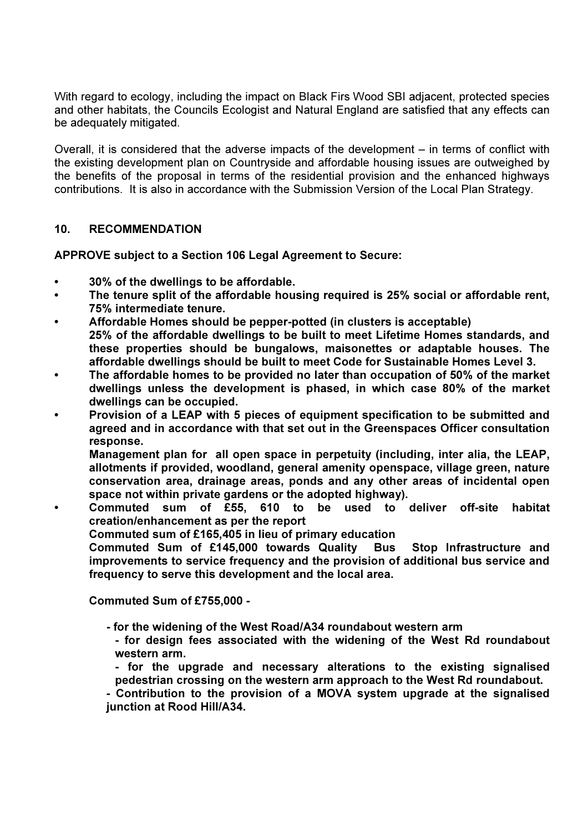With regard to ecology, including the impact on Black Firs Wood SBI adjacent, protected species and other habitats, the Councils Ecologist and Natural England are satisfied that any effects can be adequately mitigated.

Overall, it is considered that the adverse impacts of the development – in terms of conflict with the existing development plan on Countryside and affordable housing issues are outweighed by the benefits of the proposal in terms of the residential provision and the enhanced highways contributions. It is also in accordance with the Submission Version of the Local Plan Strategy.

# 10. RECOMMENDATION

APPROVE subject to a Section 106 Legal Agreement to Secure:

- 30% of the dwellings to be affordable.
- The tenure split of the affordable housing required is 25% social or affordable rent, 75% intermediate tenure.
- Affordable Homes should be pepper-potted (in clusters is acceptable) 25% of the affordable dwellings to be built to meet Lifetime Homes standards, and these properties should be bungalows, maisonettes or adaptable houses. The affordable dwellings should be built to meet Code for Sustainable Homes Level 3.
- The affordable homes to be provided no later than occupation of 50% of the market dwellings unless the development is phased, in which case 80% of the market dwellings can be occupied.
- Provision of a LEAP with 5 pieces of equipment specification to be submitted and agreed and in accordance with that set out in the Greenspaces Officer consultation response.

Management plan for all open space in perpetuity (including, inter alia, the LEAP, allotments if provided, woodland, general amenity openspace, village green, nature conservation area, drainage areas, ponds and any other areas of incidental open space not within private gardens or the adopted highway).

• Commuted sum of £55, 610 to be used to deliver off-site habitat creation/enhancement as per the report

Commuted sum of £165,405 in lieu of primary education

Commuted Sum of £145,000 towards Quality Bus Stop Infrastructure and improvements to service frequency and the provision of additional bus service and frequency to serve this development and the local area.

Commuted Sum of £755,000 -

- for the widening of the West Road/A34 roundabout western arm
	- for design fees associated with the widening of the West Rd roundabout western arm.
	- for the upgrade and necessary alterations to the existing signalised pedestrian crossing on the western arm approach to the West Rd roundabout.

 - Contribution to the provision of a MOVA system upgrade at the signalised junction at Rood Hill/A34.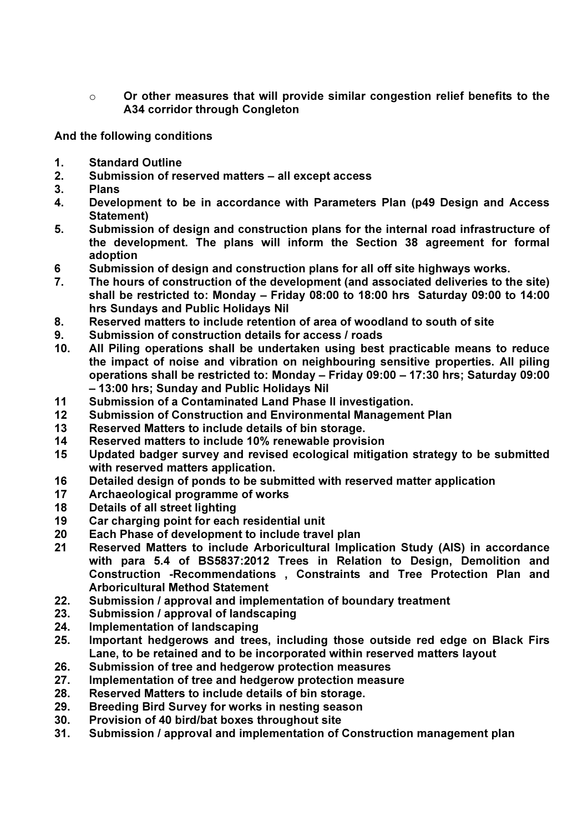$\circ$  Or other measures that will provide similar congestion relief benefits to the A34 corridor through Congleton

And the following conditions

- 1. Standard Outline
- 2. Submission of reserved matters all except access
- 3. Plans
- 4. Development to be in accordance with Parameters Plan (p49 Design and Access Statement)
- 5. Submission of design and construction plans for the internal road infrastructure of the development. The plans will inform the Section 38 agreement for formal adoption
- 6 Submission of design and construction plans for all off site highways works.
- 7. The hours of construction of the development (and associated deliveries to the site) shall be restricted to: Monday – Friday 08:00 to 18:00 hrs Saturday 09:00 to 14:00 hrs Sundays and Public Holidays Nil
- 8. Reserved matters to include retention of area of woodland to south of site
- 9. Submission of construction details for access / roads
- 10. All Piling operations shall be undertaken using best practicable means to reduce the impact of noise and vibration on neighbouring sensitive properties. All piling operations shall be restricted to: Monday – Friday 09:00 – 17:30 hrs; Saturday 09:00 – 13:00 hrs; Sunday and Public Holidays Nil
- 11 Submission of a Contaminated Land Phase II investigation.
- 12 Submission of Construction and Environmental Management Plan
- 13 Reserved Matters to include details of bin storage.
- 14 Reserved matters to include 10% renewable provision
- 15 Updated badger survey and revised ecological mitigation strategy to be submitted with reserved matters application.
- 16 Detailed design of ponds to be submitted with reserved matter application
- 17 Archaeological programme of works
- 18 Details of all street lighting
- 19 Car charging point for each residential unit
- 20 Each Phase of development to include travel plan
- 21 Reserved Matters to include Arboricultural Implication Study (AIS) in accordance with para 5.4 of BS5837:2012 Trees in Relation to Design, Demolition and Construction -Recommendations , Constraints and Tree Protection Plan and Arboricultural Method Statement
- 22. Submission / approval and implementation of boundary treatment
- 23. Submission / approval of landscaping
- 24. Implementation of landscaping
- 25. Important hedgerows and trees, including those outside red edge on Black Firs Lane, to be retained and to be incorporated within reserved matters layout
- 26. Submission of tree and hedgerow protection measures
- 27. Implementation of tree and hedgerow protection measure
- 28. Reserved Matters to include details of bin storage.
- 29. Breeding Bird Survey for works in nesting season
- 30. Provision of 40 bird/bat boxes throughout site
- 31. Submission / approval and implementation of Construction management plan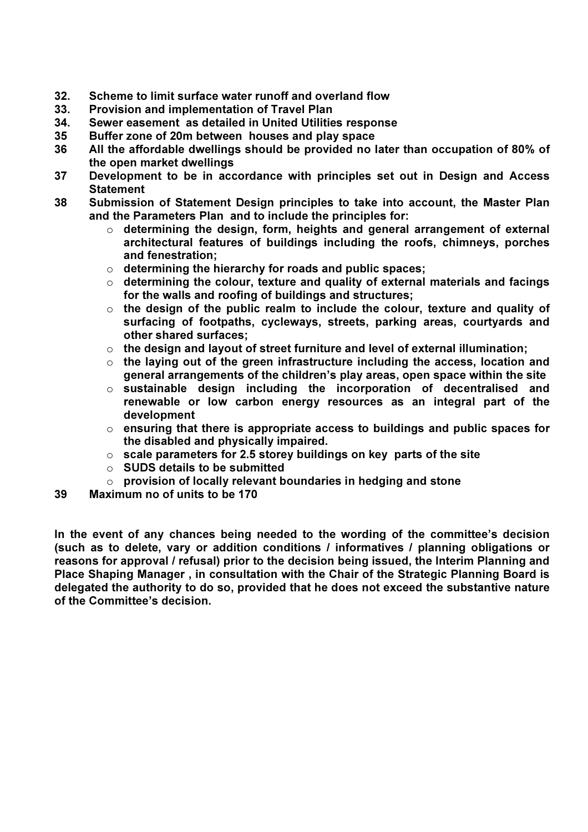- 32. Scheme to limit surface water runoff and overland flow
- 33. Provision and implementation of Travel Plan
- 34. Sewer easement as detailed in United Utilities response
- 35 Buffer zone of 20m between houses and play space
- 36 All the affordable dwellings should be provided no later than occupation of 80% of the open market dwellings
- 37 Development to be in accordance with principles set out in Design and Access **Statement**
- 38 Submission of Statement Design principles to take into account, the Master Plan and the Parameters Plan and to include the principles for:
	- $\circ$  determining the design, form, heights and general arrangement of external architectural features of buildings including the roofs, chimneys, porches and fenestration;
	- $\circ$  determining the hierarchy for roads and public spaces;
	- $\circ$  determining the colour, texture and quality of external materials and facings for the walls and roofing of buildings and structures;
	- $\circ$  the design of the public realm to include the colour, texture and quality of surfacing of footpaths, cycleways, streets, parking areas, courtyards and other shared surfaces;
	- $\circ$  the design and layout of street furniture and level of external illumination;
	- $\circ$  the laying out of the green infrastructure including the access, location and general arrangements of the children's play areas, open space within the site
	- o sustainable design including the incorporation of decentralised and renewable or low carbon energy resources as an integral part of the development
	- $\circ$  ensuring that there is appropriate access to buildings and public spaces for the disabled and physically impaired.
	- $\circ$  scale parameters for 2.5 storey buildings on key parts of the site
	- $\circ$  SUDS details to be submitted
	- $\circ$  provision of locally relevant boundaries in hedging and stone
- 39 Maximum no of units to be 170

In the event of any chances being needed to the wording of the committee's decision (such as to delete, vary or addition conditions / informatives / planning obligations or reasons for approval / refusal) prior to the decision being issued, the Interim Planning and Place Shaping Manager , in consultation with the Chair of the Strategic Planning Board is delegated the authority to do so, provided that he does not exceed the substantive nature of the Committee's decision.